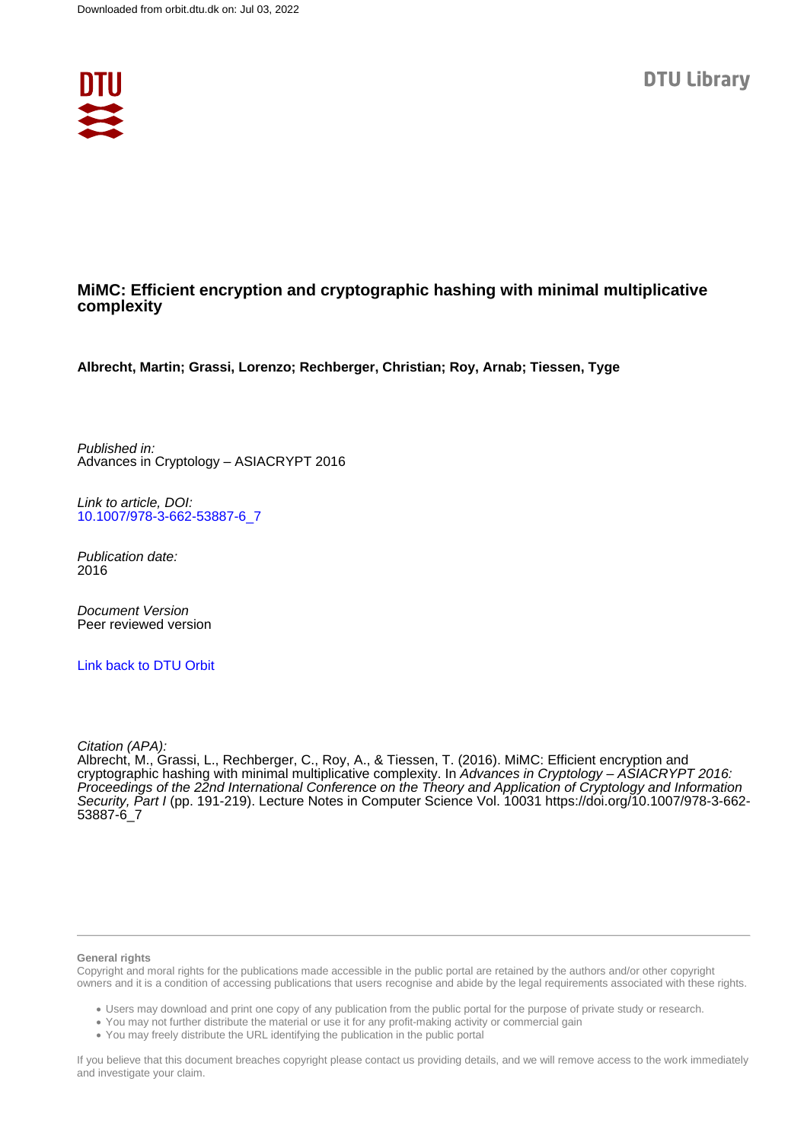

# **MiMC: Efficient encryption and cryptographic hashing with minimal multiplicative complexity**

**Albrecht, Martin; Grassi, Lorenzo; Rechberger, Christian; Roy, Arnab; Tiessen, Tyge**

Published in: Advances in Cryptology – ASIACRYPT 2016

Link to article, DOI: [10.1007/978-3-662-53887-6\\_7](https://doi.org/10.1007/978-3-662-53887-6_7)

Publication date: 2016

Document Version Peer reviewed version

[Link back to DTU Orbit](https://orbit.dtu.dk/en/publications/c019bf7f-0ecb-424e-b53f-189143f76eb8)

Citation (APA):

Albrecht, M., Grassi, L., Rechberger, C., Roy, A., & Tiessen, T. (2016). MiMC: Efficient encryption and cryptographic hashing with minimal multiplicative complexity. In Advances in Cryptology – ASIACRYPT 2016: Proceedings of the 22nd International Conference on the Theory and Application of Cryptology and Information Security, Part I (pp. 191-219). Lecture Notes in Computer Science Vol. 10031 [https://doi.org/10.1007/978-3-662-](https://doi.org/10.1007/978-3-662-53887-6_7) [53887-6\\_7](https://doi.org/10.1007/978-3-662-53887-6_7)

#### **General rights**

Copyright and moral rights for the publications made accessible in the public portal are retained by the authors and/or other copyright owners and it is a condition of accessing publications that users recognise and abide by the legal requirements associated with these rights.

Users may download and print one copy of any publication from the public portal for the purpose of private study or research.

- You may not further distribute the material or use it for any profit-making activity or commercial gain
- You may freely distribute the URL identifying the publication in the public portal

If you believe that this document breaches copyright please contact us providing details, and we will remove access to the work immediately and investigate your claim.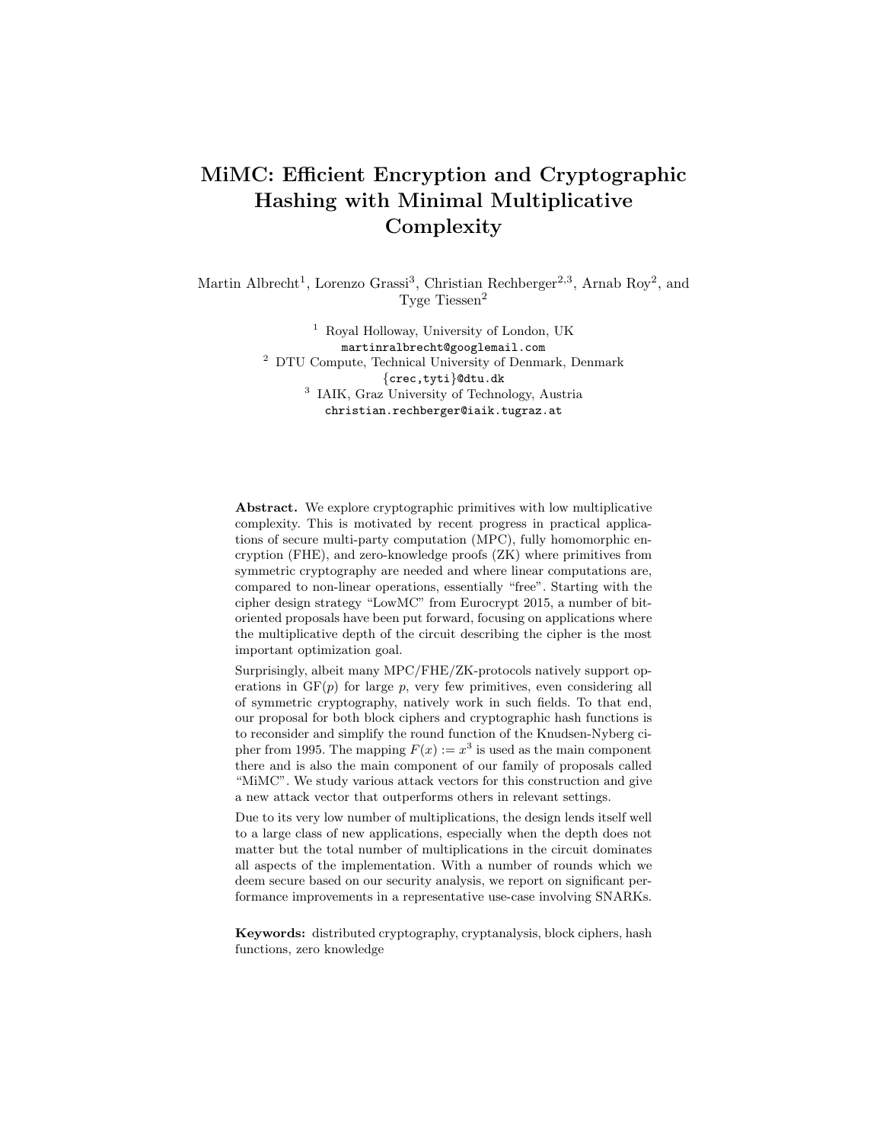# MiMC: Efficient Encryption and Cryptographic Hashing with Minimal Multiplicative Complexity

Martin Albrecht<sup>1</sup>, Lorenzo Grassi<sup>3</sup>, Christian Rechberger<sup>2,3</sup>, Arnab Roy<sup>2</sup>, and Tyge Tiessen<sup>2</sup>

> <sup>1</sup> Royal Holloway, University of London, UK martinralbrecht@googlemail.com <sup>2</sup> DTU Compute, Technical University of Denmark, Denmark {crec,tyti}@dtu.dk 3 IAIK, Graz University of Technology, Austria christian.rechberger@iaik.tugraz.at

Abstract. We explore cryptographic primitives with low multiplicative complexity. This is motivated by recent progress in practical applications of secure multi-party computation (MPC), fully homomorphic encryption (FHE), and zero-knowledge proofs (ZK) where primitives from symmetric cryptography are needed and where linear computations are, compared to non-linear operations, essentially "free". Starting with the cipher design strategy "LowMC" from Eurocrypt 2015, a number of bitoriented proposals have been put forward, focusing on applications where the multiplicative depth of the circuit describing the cipher is the most important optimization goal.

Surprisingly, albeit many MPC/FHE/ZK-protocols natively support operations in  $GF(p)$  for large p, very few primitives, even considering all of symmetric cryptography, natively work in such fields. To that end, our proposal for both block ciphers and cryptographic hash functions is to reconsider and simplify the round function of the Knudsen-Nyberg cipher from 1995. The mapping  $F(x) := x^3$  is used as the main component there and is also the main component of our family of proposals called "MiMC". We study various attack vectors for this construction and give a new attack vector that outperforms others in relevant settings.

Due to its very low number of multiplications, the design lends itself well to a large class of new applications, especially when the depth does not matter but the total number of multiplications in the circuit dominates all aspects of the implementation. With a number of rounds which we deem secure based on our security analysis, we report on significant performance improvements in a representative use-case involving SNARKs.

Keywords: distributed cryptography, cryptanalysis, block ciphers, hash functions, zero knowledge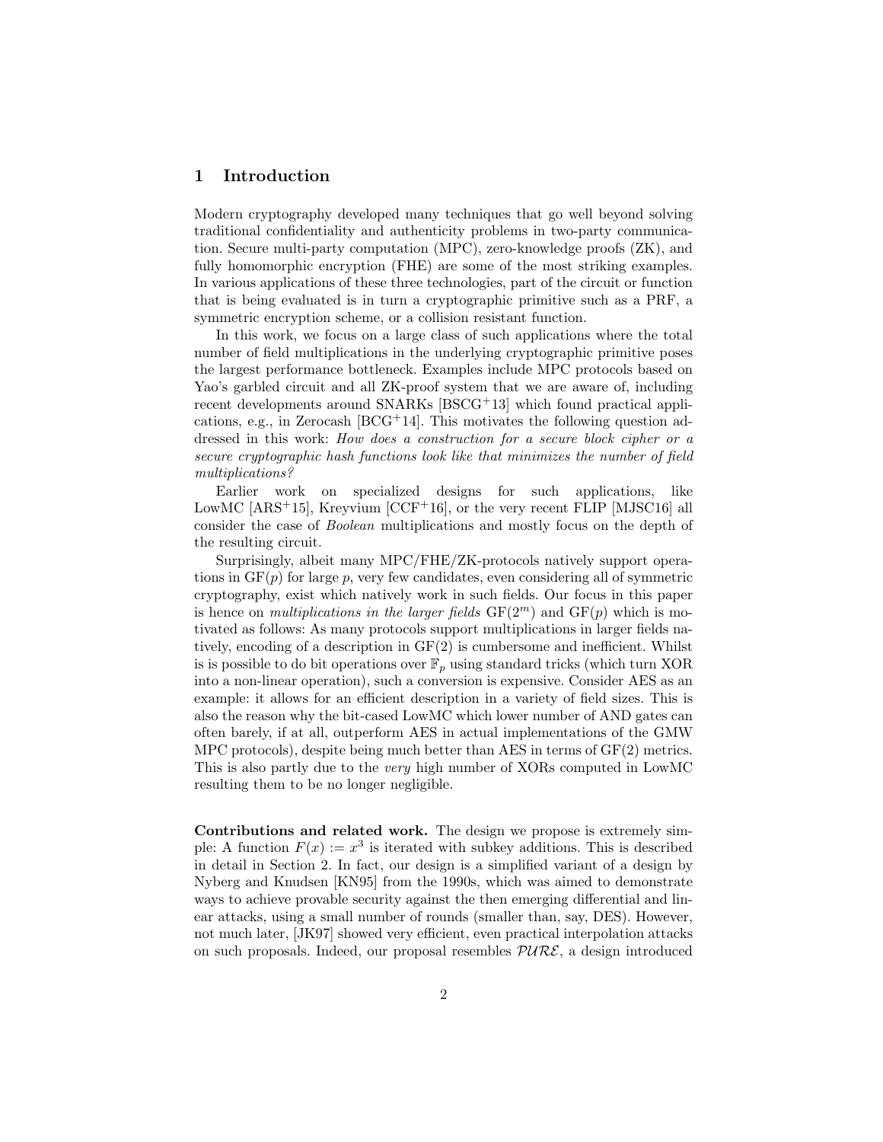## 1 Introduction

Modern cryptography developed many techniques that go well beyond solving traditional confidentiality and authenticity problems in two-party communication. Secure multi-party computation (MPC), zero-knowledge proofs (ZK), and fully homomorphic encryption (FHE) are some of the most striking examples. In various applications of these three technologies, part of the circuit or function that is being evaluated is in turn a cryptographic primitive such as a PRF, a symmetric encryption scheme, or a collision resistant function.

In this work, we focus on a large class of such applications where the total number of field multiplications in the underlying cryptographic primitive poses the largest performance bottleneck. Examples include MPC protocols based on Yao's garbled circuit and all ZK-proof system that we are aware of, including recent developments around SNARKs [BSCG<sup>+</sup>13] which found practical applications, e.g., in Zerocash  $[BCG^+14]$ . This motivates the following question addressed in this work: How does a construction for a secure block cipher or a secure cryptographic hash functions look like that minimizes the number of field multiplications?

Earlier work on specialized designs for such applications, like LowMC  $[ARS^+15]$ , Kreyvium  $[CCF^+16]$ , or the very recent FLIP  $[MJSC16]$  all consider the case of Boolean multiplications and mostly focus on the depth of the resulting circuit.

Surprisingly, albeit many MPC/FHE/ZK-protocols natively support operations in  $GF(p)$  for large p, very few candidates, even considering all of symmetric cryptography, exist which natively work in such fields. Our focus in this paper is hence on *multiplications in the larger fields*  $GF(2<sup>m</sup>)$  and  $GF(p)$  which is motivated as follows: As many protocols support multiplications in larger fields natively, encoding of a description in  $GF(2)$  is cumbersome and inefficient. Whilst is is possible to do bit operations over  $\mathbb{F}_p$  using standard tricks (which turn XOR into a non-linear operation), such a conversion is expensive. Consider AES as an example: it allows for an efficient description in a variety of field sizes. This is also the reason why the bit-cased LowMC which lower number of AND gates can often barely, if at all, outperform AES in actual implementations of the GMW MPC protocols), despite being much better than AES in terms of GF(2) metrics. This is also partly due to the very high number of XORs computed in LowMC resulting them to be no longer negligible.

Contributions and related work. The design we propose is extremely simple: A function  $F(x) := x^3$  is iterated with subkey additions. This is described in detail in Section 2. In fact, our design is a simplified variant of a design by Nyberg and Knudsen [KN95] from the 1990s, which was aimed to demonstrate ways to achieve provable security against the then emerging differential and linear attacks, using a small number of rounds (smaller than, say, DES). However, not much later, [JK97] showed very efficient, even practical interpolation attacks on such proposals. Indeed, our proposal resembles  $PURE$ , a design introduced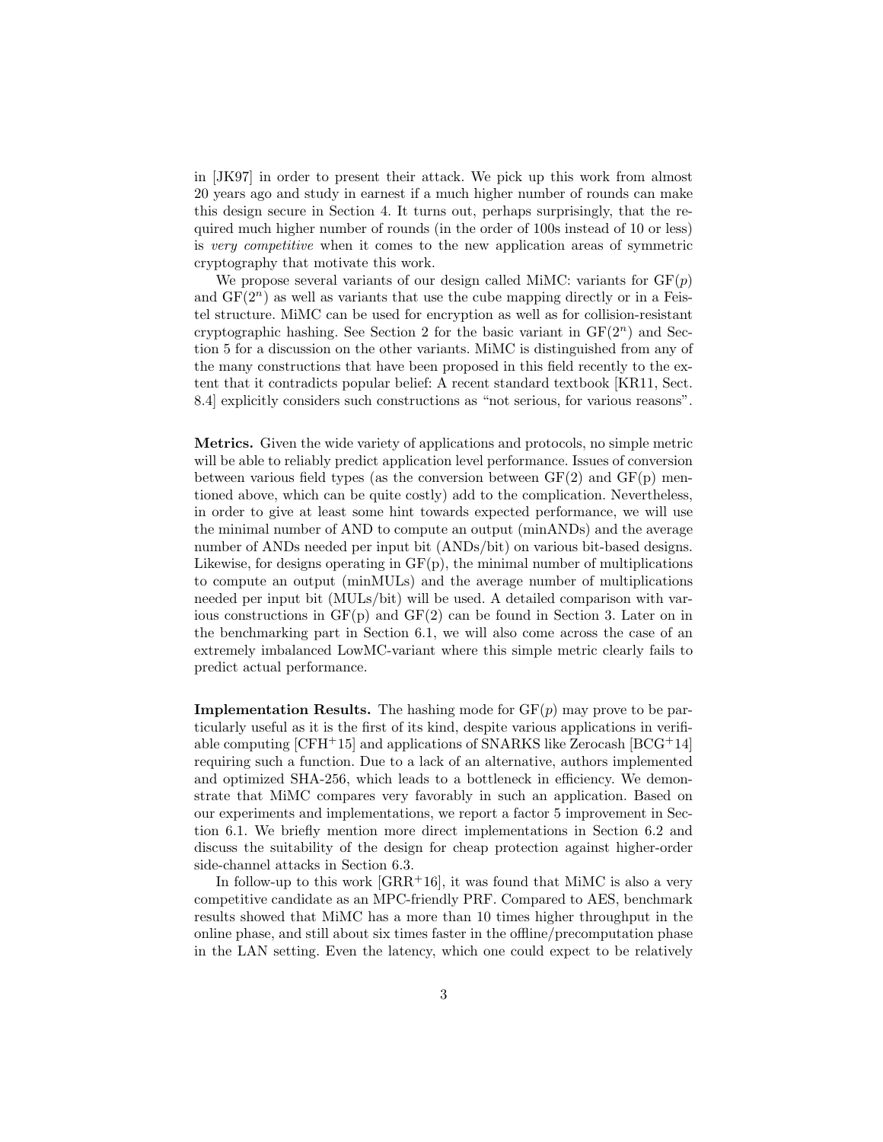in [JK97] in order to present their attack. We pick up this work from almost 20 years ago and study in earnest if a much higher number of rounds can make this design secure in Section 4. It turns out, perhaps surprisingly, that the required much higher number of rounds (in the order of 100s instead of 10 or less) is very competitive when it comes to the new application areas of symmetric cryptography that motivate this work.

We propose several variants of our design called MiMC: variants for  $GF(p)$ and  $GF(2<sup>n</sup>)$  as well as variants that use the cube mapping directly or in a Feistel structure. MiMC can be used for encryption as well as for collision-resistant cryptographic hashing. See Section 2 for the basic variant in  $GF(2<sup>n</sup>)$  and Section 5 for a discussion on the other variants. MiMC is distinguished from any of the many constructions that have been proposed in this field recently to the extent that it contradicts popular belief: A recent standard textbook [KR11, Sect. 8.4] explicitly considers such constructions as "not serious, for various reasons".

Metrics. Given the wide variety of applications and protocols, no simple metric will be able to reliably predict application level performance. Issues of conversion between various field types (as the conversion between  $GF(2)$  and  $GF(p)$  mentioned above, which can be quite costly) add to the complication. Nevertheless, in order to give at least some hint towards expected performance, we will use the minimal number of AND to compute an output (minANDs) and the average number of ANDs needed per input bit (ANDs/bit) on various bit-based designs. Likewise, for designs operating in  $GF(p)$ , the minimal number of multiplications to compute an output (minMULs) and the average number of multiplications needed per input bit (MULs/bit) will be used. A detailed comparison with various constructions in  $GF(p)$  and  $GF(2)$  can be found in Section 3. Later on in the benchmarking part in Section 6.1, we will also come across the case of an extremely imbalanced LowMC-variant where this simple metric clearly fails to predict actual performance.

**Implementation Results.** The hashing mode for  $GF(p)$  may prove to be particularly useful as it is the first of its kind, despite various applications in verifiable computing  $[CFH+15]$  and applications of SNARKS like Zerocash  $[BCG+14]$ requiring such a function. Due to a lack of an alternative, authors implemented and optimized SHA-256, which leads to a bottleneck in efficiency. We demonstrate that MiMC compares very favorably in such an application. Based on our experiments and implementations, we report a factor 5 improvement in Section 6.1. We briefly mention more direct implementations in Section 6.2 and discuss the suitability of the design for cheap protection against higher-order side-channel attacks in Section 6.3.

In follow-up to this work  $[GRR+16]$ , it was found that MiMC is also a very competitive candidate as an MPC-friendly PRF. Compared to AES, benchmark results showed that MiMC has a more than 10 times higher throughput in the online phase, and still about six times faster in the offline/precomputation phase in the LAN setting. Even the latency, which one could expect to be relatively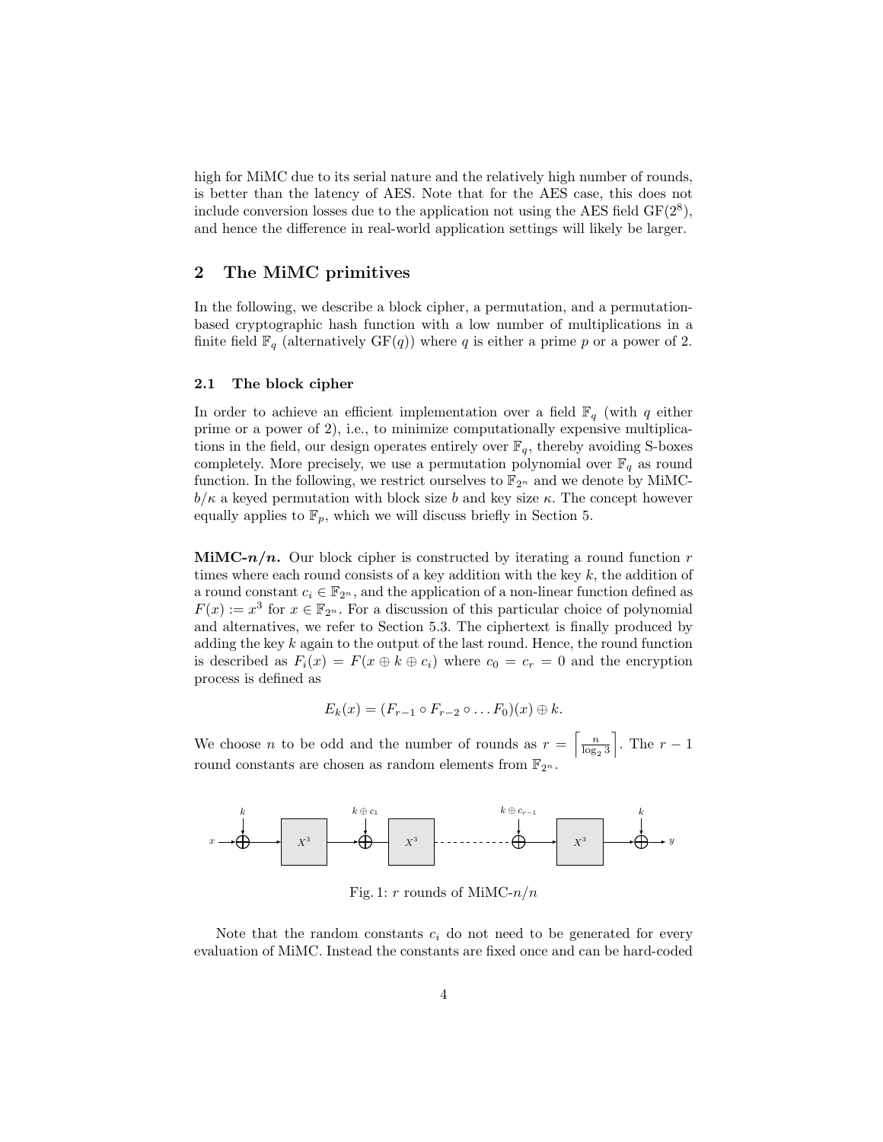high for MiMC due to its serial nature and the relatively high number of rounds, is better than the latency of AES. Note that for the AES case, this does not include conversion losses due to the application not using the AES field  $GF(2<sup>8</sup>)$ , and hence the difference in real-world application settings will likely be larger.

# 2 The MiMC primitives

In the following, we describe a block cipher, a permutation, and a permutationbased cryptographic hash function with a low number of multiplications in a finite field  $\mathbb{F}_q$  (alternatively  $GF(q)$ ) where q is either a prime p or a power of 2.

#### 2.1 The block cipher

In order to achieve an efficient implementation over a field  $\mathbb{F}_q$  (with q either prime or a power of 2), i.e., to minimize computationally expensive multiplications in the field, our design operates entirely over  $\mathbb{F}_q$ , thereby avoiding S-boxes completely. More precisely, we use a permutation polynomial over  $\mathbb{F}_q$  as round function. In the following, we restrict ourselves to  $\mathbb{F}_{2^n}$  and we denote by MiMC $b/\kappa$  a keyed permutation with block size b and key size  $\kappa$ . The concept however equally applies to  $\mathbb{F}_p$ , which we will discuss briefly in Section 5.

**MIMC-n/n.** Our block cipher is constructed by iterating a round function r times where each round consists of a key addition with the key  $k$ , the addition of a round constant  $c_i \in \mathbb{F}_{2^n}$ , and the application of a non-linear function defined as  $F(x) := x^3$  for  $x \in \mathbb{F}_{2^n}$ . For a discussion of this particular choice of polynomial and alternatives, we refer to Section 5.3. The ciphertext is finally produced by adding the key  $k$  again to the output of the last round. Hence, the round function is described as  $F_i(x) = F(x \oplus k \oplus c_i)$  where  $c_0 = c_r = 0$  and the encryption process is defined as

$$
E_k(x) = (F_{r-1} \circ F_{r-2} \circ \dots F_0)(x) \oplus k.
$$

We choose *n* to be odd and the number of rounds as  $r = \left\lceil \frac{n}{\log_2 3} \right\rceil$ ]. The  $r-1$ round constants are chosen as random elements from  $\mathbb{F}_{2^n}$ .



Fig. 1: r rounds of MiMC- $n/n$ 

Note that the random constants  $c_i$  do not need to be generated for every evaluation of MiMC. Instead the constants are fixed once and can be hard-coded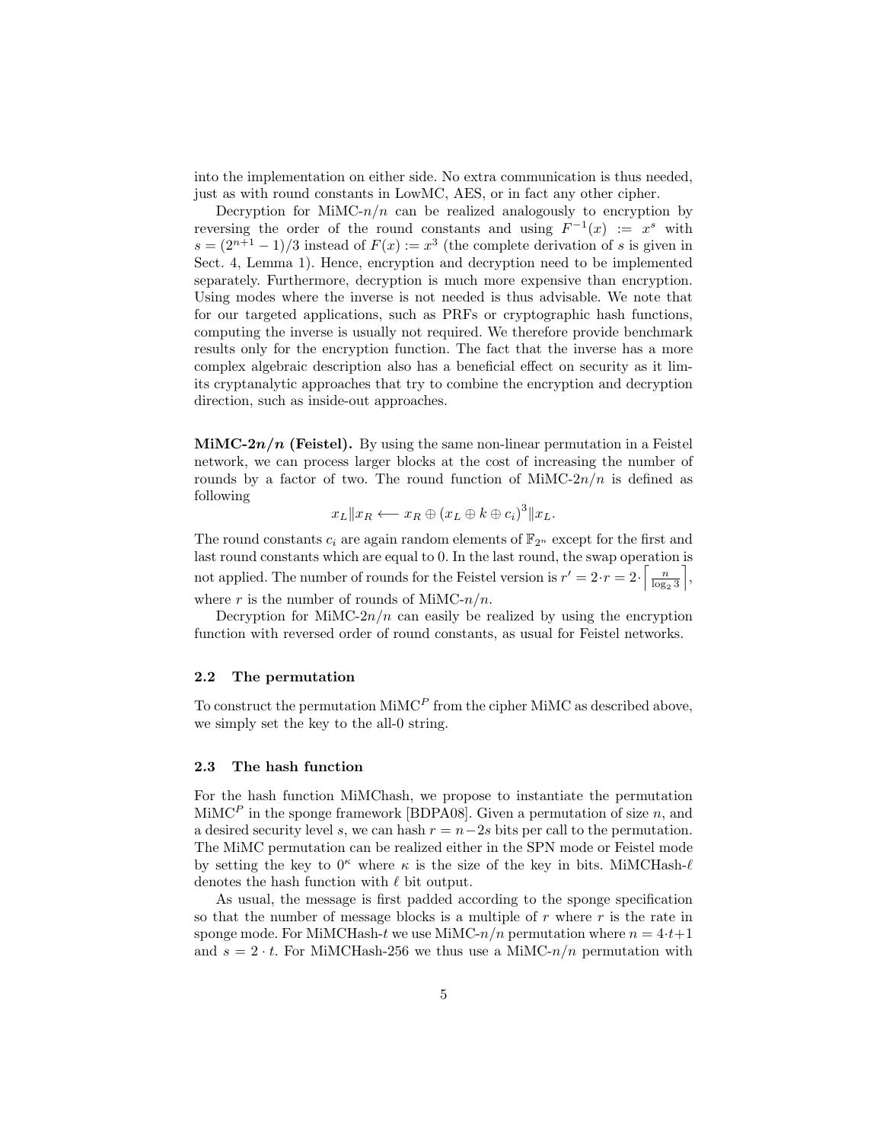into the implementation on either side. No extra communication is thus needed, just as with round constants in LowMC, AES, or in fact any other cipher.

Decryption for MiMC- $n/n$  can be realized analogously to encryption by reversing the order of the round constants and using  $F^{-1}(x) := x^s$  with  $s = (2^{n+1} - 1)/3$  instead of  $F(x) := x^3$  (the complete derivation of s is given in Sect. 4, Lemma 1). Hence, encryption and decryption need to be implemented separately. Furthermore, decryption is much more expensive than encryption. Using modes where the inverse is not needed is thus advisable. We note that for our targeted applications, such as PRFs or cryptographic hash functions, computing the inverse is usually not required. We therefore provide benchmark results only for the encryption function. The fact that the inverse has a more complex algebraic description also has a beneficial effect on security as it limits cryptanalytic approaches that try to combine the encryption and decryption direction, such as inside-out approaches.

MiMC- $2n/n$  (Feistel). By using the same non-linear permutation in a Feistel network, we can process larger blocks at the cost of increasing the number of rounds by a factor of two. The round function of  $\text{MiMC-}2n/n$  is defined as following

$$
x_L \| x_R \longleftarrow x_R \oplus (x_L \oplus k \oplus c_i)^3 \| x_L.
$$

The round constants  $c_i$  are again random elements of  $\mathbb{F}_{2^n}$  except for the first and last round constants which are equal to 0. In the last round, the swap operation is not applied. The number of rounds for the Feistel version is  $r' = 2 \cdot r = 2 \cdot \left\lceil \frac{n}{\log_2 3} \right\rceil$ m , where r is the number of rounds of MiMC- $n/n$ .

Decryption for MiMC- $2n/n$  can easily be realized by using the encryption function with reversed order of round constants, as usual for Feistel networks.

#### 2.2 The permutation

To construct the permutation  $\text{MinC}^P$  from the cipher  $\text{MinC}$  as described above, we simply set the key to the all-0 string.

#### 2.3 The hash function

For the hash function MiMChash, we propose to instantiate the permutation MiMC<sup>P</sup> in the sponge framework [BDPA08]. Given a permutation of size n, and a desired security level s, we can hash  $r = n-2s$  bits per call to the permutation. The MiMC permutation can be realized either in the SPN mode or Feistel mode by setting the key to  $0^{\kappa}$  where  $\kappa$  is the size of the key in bits. MiMCHash- $\ell$ denotes the hash function with  $\ell$  bit output.

As usual, the message is first padded according to the sponge specification so that the number of message blocks is a multiple of  $r$  where  $r$  is the rate in sponge mode. For MiMCHash-t we use MiMC- $n/n$  permutation where  $n = 4 \cdot t + 1$ and  $s = 2 \cdot t$ . For MiMCHash-256 we thus use a MiMC- $n/n$  permutation with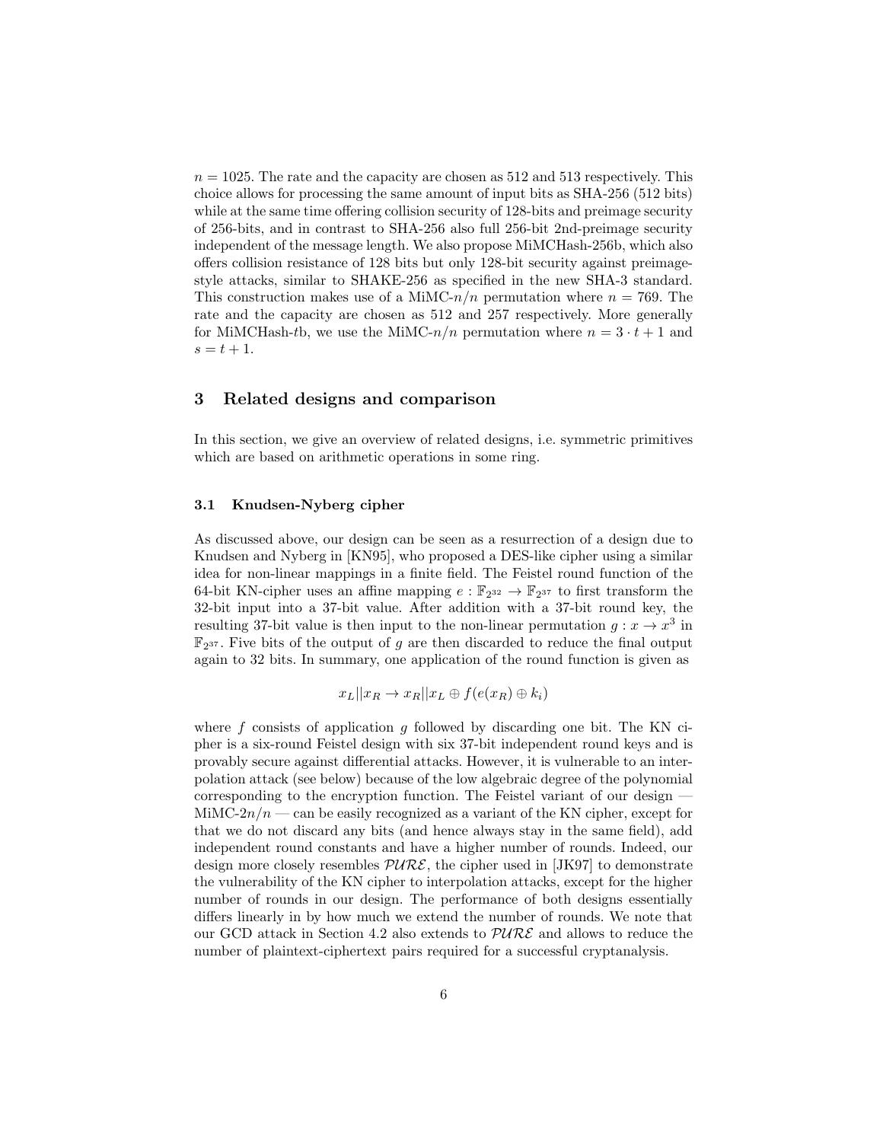$n = 1025$ . The rate and the capacity are chosen as 512 and 513 respectively. This choice allows for processing the same amount of input bits as SHA-256 (512 bits) while at the same time offering collision security of 128-bits and preimage security of 256-bits, and in contrast to SHA-256 also full 256-bit 2nd-preimage security independent of the message length. We also propose MiMCHash-256b, which also offers collision resistance of 128 bits but only 128-bit security against preimagestyle attacks, similar to SHAKE-256 as specified in the new SHA-3 standard. This construction makes use of a MiMC- $n/n$  permutation where  $n = 769$ . The rate and the capacity are chosen as 512 and 257 respectively. More generally for MiMCHash-tb, we use the MiMC- $n/n$  permutation where  $n = 3 \cdot t + 1$  and  $s = t + 1.$ 

## 3 Related designs and comparison

In this section, we give an overview of related designs, i.e. symmetric primitives which are based on arithmetic operations in some ring.

## 3.1 Knudsen-Nyberg cipher

As discussed above, our design can be seen as a resurrection of a design due to Knudsen and Nyberg in [KN95], who proposed a DES-like cipher using a similar idea for non-linear mappings in a finite field. The Feistel round function of the 64-bit KN-cipher uses an affine mapping  $e : \mathbb{F}_{2^{32}} \to \mathbb{F}_{2^{37}}$  to first transform the 32-bit input into a 37-bit value. After addition with a 37-bit round key, the resulting 37-bit value is then input to the non-linear permutation  $g: x \to x^3$  in  $\mathbb{F}_{2^{37}}$ . Five bits of the output of g are then discarded to reduce the final output again to 32 bits. In summary, one application of the round function is given as

$$
x_L || x_R \to x_R || x_L \oplus f(e(x_R) \oplus k_i)
$$

where  $f$  consists of application  $g$  followed by discarding one bit. The KN cipher is a six-round Feistel design with six 37-bit independent round keys and is provably secure against differential attacks. However, it is vulnerable to an interpolation attack (see below) because of the low algebraic degree of the polynomial corresponding to the encryption function. The Feistel variant of our design — MiMC-2 $n/n$  — can be easily recognized as a variant of the KN cipher, except for that we do not discard any bits (and hence always stay in the same field), add independent round constants and have a higher number of rounds. Indeed, our design more closely resembles  $PURE$ , the cipher used in [JK97] to demonstrate the vulnerability of the KN cipher to interpolation attacks, except for the higher number of rounds in our design. The performance of both designs essentially differs linearly in by how much we extend the number of rounds. We note that our GCD attack in Section 4.2 also extends to  $PURE$  and allows to reduce the number of plaintext-ciphertext pairs required for a successful cryptanalysis.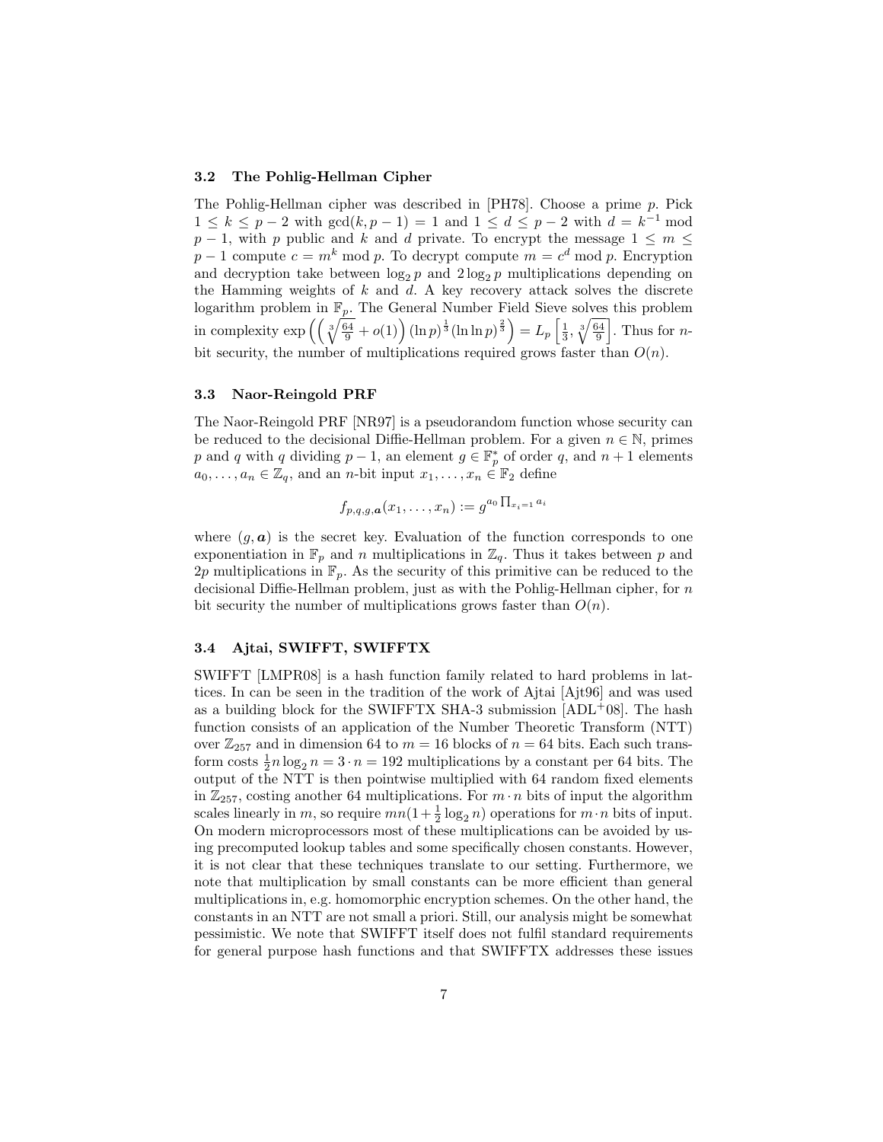#### 3.2 The Pohlig-Hellman Cipher

The Pohlig-Hellman cipher was described in [PH78]. Choose a prime p. Pick  $1 \le k \le p - 2$  with  $gcd(k, p - 1) = 1$  and  $1 \le d \le p - 2$  with  $d = k^{-1}$  mod  $p-1$ , with p public and k and d private. To encrypt the message  $1 \leq m \leq$  $p-1$  compute  $c = m^k \mod p$ . To decrypt compute  $m = c^d \mod p$ . Encryption and decryption take between  $\log_2 p$  and  $2 \log_2 p$  multiplications depending on the Hamming weights of  $k$  and  $d$ . A key recovery attack solves the discrete logarithm problem in  $\mathbb{F}_p$ . The General Number Field Sieve solves this problem in complexity  $\exp\left(\left(\sqrt[3]{\frac{64}{9}}+o(1)\right)(\ln p)^{\frac{1}{3}}(\ln \ln p)^{\frac{2}{3}}\right)=L_p\left[\frac{1}{3},\sqrt[3]{\frac{64}{9}}\right]$ . Thus for *n*bit security, the number of multiplications required grows faster than  $O(n)$ .

#### 3.3 Naor-Reingold PRF

The Naor-Reingold PRF [NR97] is a pseudorandom function whose security can be reduced to the decisional Diffie-Hellman problem. For a given  $n \in \mathbb{N}$ , primes p and q with q dividing  $p-1$ , an element  $g \in \mathbb{F}_p^*$  of order q, and  $n+1$  elements  $a_0, \ldots, a_n \in \mathbb{Z}_q$ , and an n-bit input  $x_1, \ldots, x_n \in \mathbb{F}_2$  define

$$
f_{p,q,g,\boldsymbol{a}}(x_1,\ldots,x_n):=g^{a_0\prod_{x_i=1}a_i}
$$

where  $(g, a)$  is the secret key. Evaluation of the function corresponds to one exponentiation in  $\mathbb{F}_p$  and n multiplications in  $\mathbb{Z}_q$ . Thus it takes between p and 2p multiplications in  $\mathbb{F}_p$ . As the security of this primitive can be reduced to the decisional Diffie-Hellman problem, just as with the Pohlig-Hellman cipher, for n bit security the number of multiplications grows faster than  $O(n)$ .

### 3.4 Ajtai, SWIFFT, SWIFFTX

SWIFFT [LMPR08] is a hash function family related to hard problems in lattices. In can be seen in the tradition of the work of Ajtai [Ajt96] and was used as a building block for the SWIFFTX SHA-3 submission  $|ADL+08|$ . The hash function consists of an application of the Number Theoretic Transform (NTT) over  $\mathbb{Z}_{257}$  and in dimension 64 to  $m = 16$  blocks of  $n = 64$  bits. Each such transform costs  $\frac{1}{2}n \log_2 n = 3 \cdot n = 192$  multiplications by a constant per 64 bits. The output of the NTT is then pointwise multiplied with 64 random fixed elements in  $\mathbb{Z}_{257}$ , costing another 64 multiplications. For  $m \cdot n$  bits of input the algorithm scales linearly in m, so require  $mn(1+\frac{1}{2}\log_2 n)$  operations for  $m \cdot n$  bits of input. On modern microprocessors most of these multiplications can be avoided by using precomputed lookup tables and some specifically chosen constants. However, it is not clear that these techniques translate to our setting. Furthermore, we note that multiplication by small constants can be more efficient than general multiplications in, e.g. homomorphic encryption schemes. On the other hand, the constants in an NTT are not small a priori. Still, our analysis might be somewhat pessimistic. We note that SWIFFT itself does not fulfil standard requirements for general purpose hash functions and that SWIFFTX addresses these issues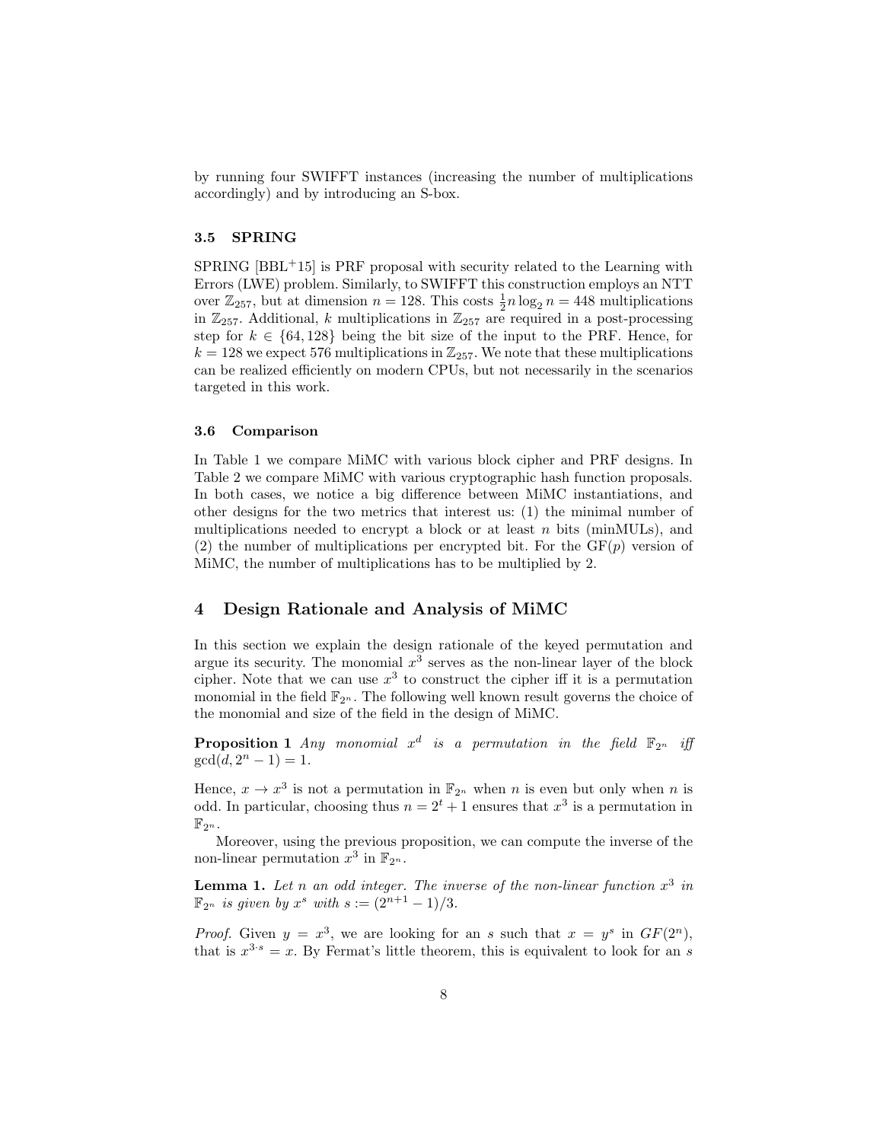by running four SWIFFT instances (increasing the number of multiplications accordingly) and by introducing an S-box.

## 3.5 SPRING

 $SPRING [BBL+15]$  is PRF proposal with security related to the Learning with Errors (LWE) problem. Similarly, to SWIFFT this construction employs an NTT over  $\mathbb{Z}_{257}$ , but at dimension  $n = 128$ . This costs  $\frac{1}{2}n \log_2 n = 448$  multiplications in  $\mathbb{Z}_{257}$ . Additional, k multiplications in  $\mathbb{Z}_{257}$  are required in a post-processing step for  $k \in \{64, 128\}$  being the bit size of the input to the PRF. Hence, for  $k = 128$  we expect 576 multiplications in  $\mathbb{Z}_{257}$ . We note that these multiplications can be realized efficiently on modern CPUs, but not necessarily in the scenarios targeted in this work.

#### 3.6 Comparison

In Table 1 we compare MiMC with various block cipher and PRF designs. In Table 2 we compare MiMC with various cryptographic hash function proposals. In both cases, we notice a big difference between MiMC instantiations, and other designs for the two metrics that interest us: (1) the minimal number of multiplications needed to encrypt a block or at least  $n$  bits (minMULs), and (2) the number of multiplications per encrypted bit. For the  $GF(p)$  version of MiMC, the number of multiplications has to be multiplied by 2.

## 4 Design Rationale and Analysis of MiMC

In this section we explain the design rationale of the keyed permutation and argue its security. The monomial  $x^3$  serves as the non-linear layer of the block cipher. Note that we can use  $x^3$  to construct the cipher iff it is a permutation monomial in the field  $\mathbb{F}_{2^n}$ . The following well known result governs the choice of the monomial and size of the field in the design of MiMC.

**Proposition 1** Any monomial  $x^d$  is a permutation in the field  $\mathbb{F}_{2^n}$  iff  $gcd(d, 2<sup>n</sup> - 1) = 1.$ 

Hence,  $x \to x^3$  is not a permutation in  $\mathbb{F}_{2^n}$  when n is even but only when n is odd. In particular, choosing thus  $n = 2^t + 1$  ensures that  $x^3$  is a permutation in  $\mathbb{F}_{2^n}$ .

Moreover, using the previous proposition, we can compute the inverse of the non-linear permutation  $x^3$  in  $\mathbb{F}_{2^n}$ .

**Lemma 1.** Let n an odd integer. The inverse of the non-linear function  $x^3$  in  $\mathbb{F}_{2^n}$  is given by  $x^s$  with  $s := (2^{n+1} - 1)/3$ .

*Proof.* Given  $y = x^3$ , we are looking for an s such that  $x = y^s$  in  $GF(2^n)$ , that is  $x^{3 \cdot s} = x$ . By Fermat's little theorem, this is equivalent to look for an s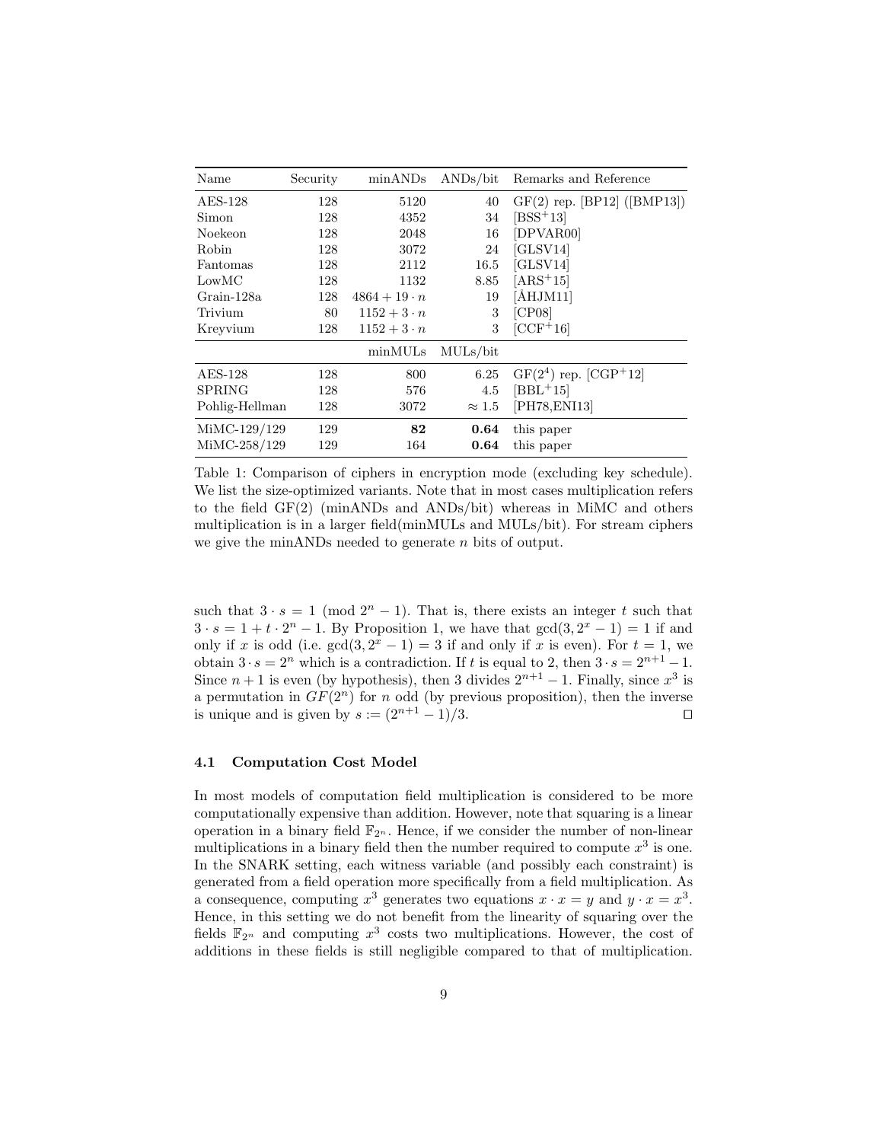| Name           | Security | minANDs             | $\rm{ANDs}/\rm{bit}$ | Remarks and Reference         |
|----------------|----------|---------------------|----------------------|-------------------------------|
| $AES-128$      | 128      | 5120                | 40                   | $GF(2)$ rep. [BP12] ([BMP13]) |
| Simon          | 128      | 4352                | 34                   | $[BSS+13]$                    |
| Noekeon        | 128      | 2048                | 16                   | [DPVAR00]                     |
| Robin          | 128      | 3072                | 24                   | [GLSV14]                      |
| Fantomas       | 128      | 2112                | 16.5                 | [GLSV14]                      |
| LowMC          | 128      | 1132                | 8.85                 | $[ARS+15]$                    |
| Grain-128a     | 128      | $4864 + 19 \cdot n$ | 19                   | $\rm [ÅHJM11]$                |
| Trivium        | 80       | $1152 + 3 \cdot n$  | 3                    | [CP08]                        |
| Kreyvium       | 128      | $1152 + 3 \cdot n$  | 3                    | $[CCF+16]$                    |
|                |          | minMULs             | MULs/bit             |                               |
| $AES-128$      | 128      | 800                 | 6.25                 | $GF(2^4)$ rep. $[CGP^+12]$    |
| <b>SPRING</b>  | 128      | 576                 | 4.5                  | $[BBL+15]$                    |
| Pohlig-Hellman | 128      | 3072                | $\approx 1.5$        | [PH78, ENI13]                 |
| MiMC-129/129   | 129      | 82                  | 0.64                 | this paper                    |
| MiMC-258/129   | 129      | 164                 | 0.64                 | this paper                    |

Table 1: Comparison of ciphers in encryption mode (excluding key schedule). We list the size-optimized variants. Note that in most cases multiplication refers to the field GF(2) (minANDs and ANDs/bit) whereas in MiMC and others multiplication is in a larger field(minMULs and MULs/bit). For stream ciphers we give the minANDs needed to generate n bits of output.

such that  $3 \cdot s = 1 \pmod{2^n - 1}$ . That is, there exists an integer t such that  $3 \cdot s = 1 + t \cdot 2^{n} - 1$ . By Proposition 1, we have that  $gcd(3, 2^{x} - 1) = 1$  if and only if x is odd (i.e.  $gcd(3, 2<sup>x</sup> - 1) = 3$  if and only if x is even). For  $t = 1$ , we obtain  $3 \cdot s = 2^n$  which is a contradiction. If t is equal to 2, then  $3 \cdot s = 2^{n+1} - 1$ . Since  $n+1$  is even (by hypothesis), then 3 divides  $2^{n+1} - 1$ . Finally, since  $x^3$  is a permutation in  $GF(2^n)$  for n odd (by previous proposition), then the inverse is unique and is given by  $s := (2^{n+1} - 1)/3$ .

## 4.1 Computation Cost Model

In most models of computation field multiplication is considered to be more computationally expensive than addition. However, note that squaring is a linear operation in a binary field  $\mathbb{F}_{2^n}$ . Hence, if we consider the number of non-linear multiplications in a binary field then the number required to compute  $x^3$  is one. In the SNARK setting, each witness variable (and possibly each constraint) is generated from a field operation more specifically from a field multiplication. As a consequence, computing  $x^3$  generates two equations  $x \cdot x = y$  and  $y \cdot x = x^3$ . Hence, in this setting we do not benefit from the linearity of squaring over the fields  $\mathbb{F}_{2^n}$  and computing  $x^3$  costs two multiplications. However, the cost of additions in these fields is still negligible compared to that of multiplication.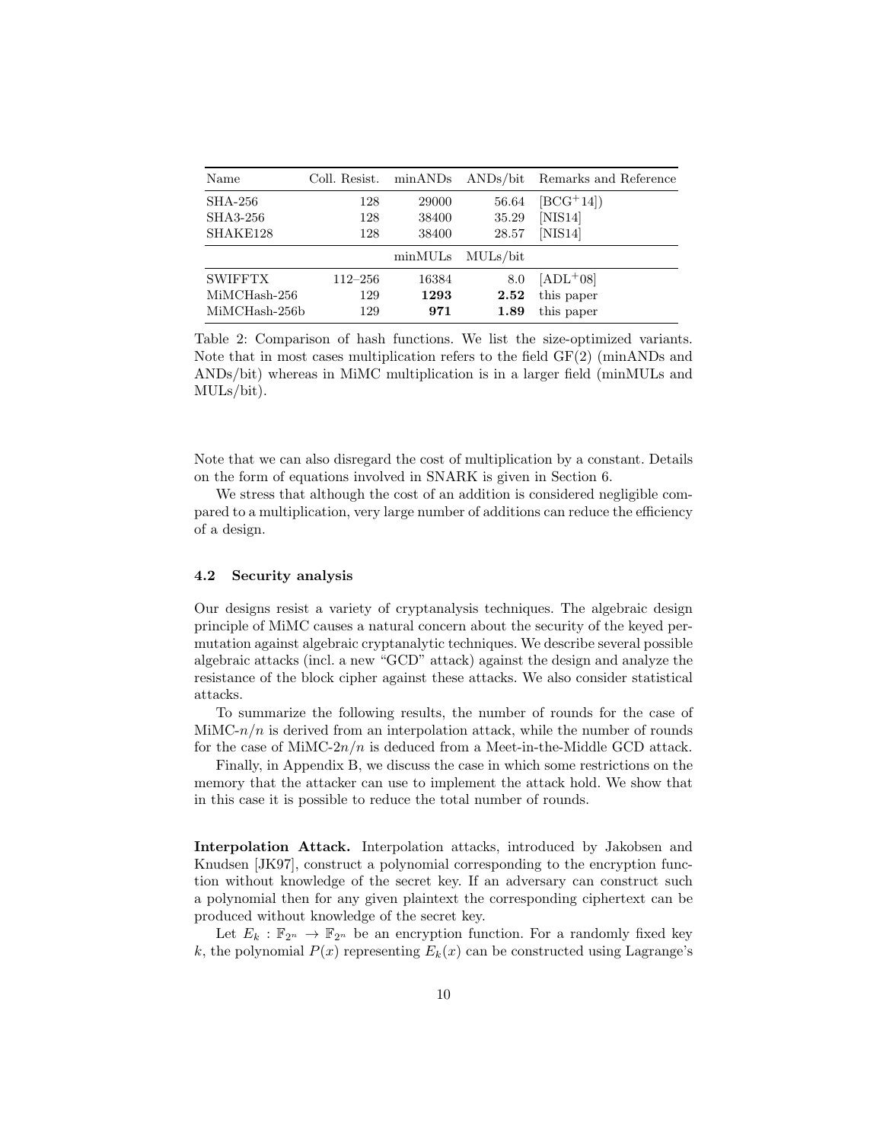| Name           | Coll. Resist. | minANDs | $\rm{ANDs}/\rm{bit}$ | Remarks and Reference |
|----------------|---------------|---------|----------------------|-----------------------|
| <b>SHA-256</b> | 128           | 29000   | 56.64                | $[BCG^+14]$           |
| SHA3-256       | 128           | 38400   | 35.29                | [NIS14]               |
| SHAKE128       | 128           | 38400   | 28.57                | [NIS14]               |
|                |               |         | minMULs MULs/bit     |                       |
| <b>SWIFFTX</b> | 112–256       | 16384   | 8.0                  | $[ADL+08]$            |
| MiMCHash-256   | 129           | 1293    | 2.52                 | this paper            |
| MiMCHash-256b  | 129           | 971     | 1.89                 | this paper            |

Table 2: Comparison of hash functions. We list the size-optimized variants. Note that in most cases multiplication refers to the field GF(2) (minANDs and ANDs/bit) whereas in MiMC multiplication is in a larger field (minMULs and MULs/bit).

Note that we can also disregard the cost of multiplication by a constant. Details on the form of equations involved in SNARK is given in Section 6.

We stress that although the cost of an addition is considered negligible compared to a multiplication, very large number of additions can reduce the efficiency of a design.

### 4.2 Security analysis

Our designs resist a variety of cryptanalysis techniques. The algebraic design principle of MiMC causes a natural concern about the security of the keyed permutation against algebraic cryptanalytic techniques. We describe several possible algebraic attacks (incl. a new "GCD" attack) against the design and analyze the resistance of the block cipher against these attacks. We also consider statistical attacks.

To summarize the following results, the number of rounds for the case of  $\text{MinC-}n/n$  is derived from an interpolation attack, while the number of rounds for the case of MiMC- $2n/n$  is deduced from a Meet-in-the-Middle GCD attack.

Finally, in Appendix B, we discuss the case in which some restrictions on the memory that the attacker can use to implement the attack hold. We show that in this case it is possible to reduce the total number of rounds.

Interpolation Attack. Interpolation attacks, introduced by Jakobsen and Knudsen [JK97], construct a polynomial corresponding to the encryption function without knowledge of the secret key. If an adversary can construct such a polynomial then for any given plaintext the corresponding ciphertext can be produced without knowledge of the secret key.

Let  $E_k : \mathbb{F}_{2^n} \to \mathbb{F}_{2^n}$  be an encryption function. For a randomly fixed key k, the polynomial  $P(x)$  representing  $E_k(x)$  can be constructed using Lagrange's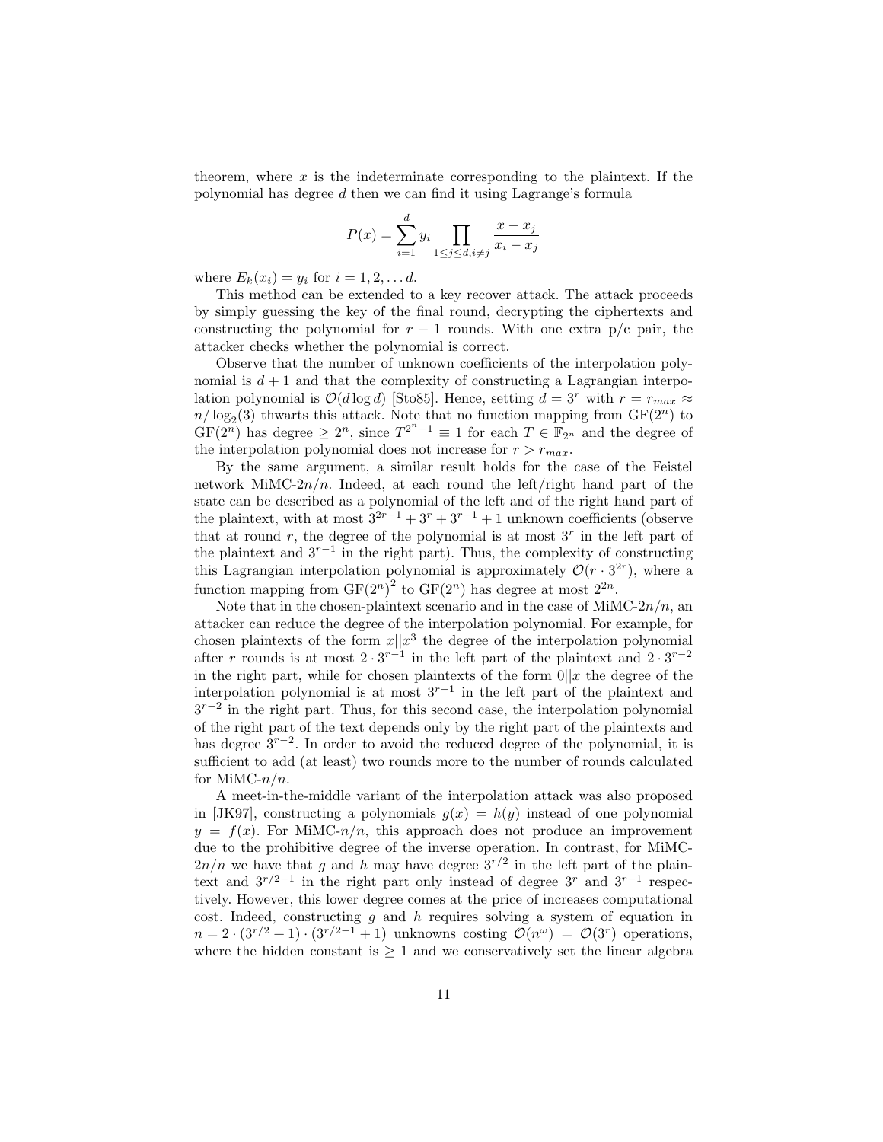theorem, where  $x$  is the indeterminate corresponding to the plaintext. If the polynomial has degree d then we can find it using Lagrange's formula

$$
P(x) = \sum_{i=1}^{d} y_i \prod_{1 \le j \le d, i \ne j} \frac{x - x_j}{x_i - x_j}
$$

where  $E_k(x_i) = y_i$  for  $i = 1, 2, \ldots d$ .

This method can be extended to a key recover attack. The attack proceeds by simply guessing the key of the final round, decrypting the ciphertexts and constructing the polynomial for  $r-1$  rounds. With one extra p/c pair, the attacker checks whether the polynomial is correct.

Observe that the number of unknown coefficients of the interpolation polynomial is  $d + 1$  and that the complexity of constructing a Lagrangian interpolation polynomial is  $\mathcal{O}(d \log d)$  [Sto85]. Hence, setting  $d = 3^r$  with  $r = r_{max} \approx$  $n/\log_2(3)$  thwarts this attack. Note that no function mapping from  $GF(2^n)$  to  $GF(2^n)$  has degree  $\geq 2^n$ , since  $T^{2^n-1} \equiv 1$  for each  $T \in \mathbb{F}_{2^n}$  and the degree of the interpolation polynomial does not increase for  $r > r_{max}$ .

By the same argument, a similar result holds for the case of the Feistel network MiMC- $2n/n$ . Indeed, at each round the left/right hand part of the state can be described as a polynomial of the left and of the right hand part of the plaintext, with at most  $3^{2r-1} + 3^r + 3^{r-1} + 1$  unknown coefficients (observe that at round  $r$ , the degree of the polynomial is at most  $3<sup>r</sup>$  in the left part of the plaintext and  $3^{r-1}$  in the right part). Thus, the complexity of constructing this Lagrangian interpolation polynomial is approximately  $\mathcal{O}(r \cdot 3^{2r})$ , where a function mapping from  $GF(2^n)^2$  to  $GF(2^n)$  has degree at most  $2^{2n}$ .

Note that in the chosen-plaintext scenario and in the case of MiMC- $2n/n$ , and attacker can reduce the degree of the interpolation polynomial. For example, for chosen plaintexts of the form  $x||x^3$  the degree of the interpolation polynomial after r rounds is at most  $2 \cdot 3^{r-1}$  in the left part of the plaintext and  $2 \cdot 3^{r-2}$ in the right part, while for chosen plaintexts of the form  $0||x$  the degree of the interpolation polynomial is at most  $3^{r-1}$  in the left part of the plaintext and 3<sup>r-2</sup> in the right part. Thus, for this second case, the interpolation polynomial of the right part of the text depends only by the right part of the plaintexts and has degree 3r−<sup>2</sup> . In order to avoid the reduced degree of the polynomial, it is sufficient to add (at least) two rounds more to the number of rounds calculated for MiMC- $n/n$ .

A meet-in-the-middle variant of the interpolation attack was also proposed in [JK97], constructing a polynomials  $g(x) = h(y)$  instead of one polynomial  $y = f(x)$ . For MiMC- $n/n$ , this approach does not produce an improvement due to the prohibitive degree of the inverse operation. In contrast, for MiMC- $2n/n$  we have that g and h may have degree  $3^{r/2}$  in the left part of the plaintext and  $3^{r/2-1}$  in the right part only instead of degree  $3^r$  and  $3^{r-1}$  respectively. However, this lower degree comes at the price of increases computational cost. Indeed, constructing  $g$  and  $h$  requires solving a system of equation in  $n = 2 \cdot (3^{r/2} + 1) \cdot (3^{r/2-1} + 1)$  unknowns costing  $\mathcal{O}(n^{\omega}) = \mathcal{O}(3^{r})$  operations, where the hidden constant is  $\geq 1$  and we conservatively set the linear algebra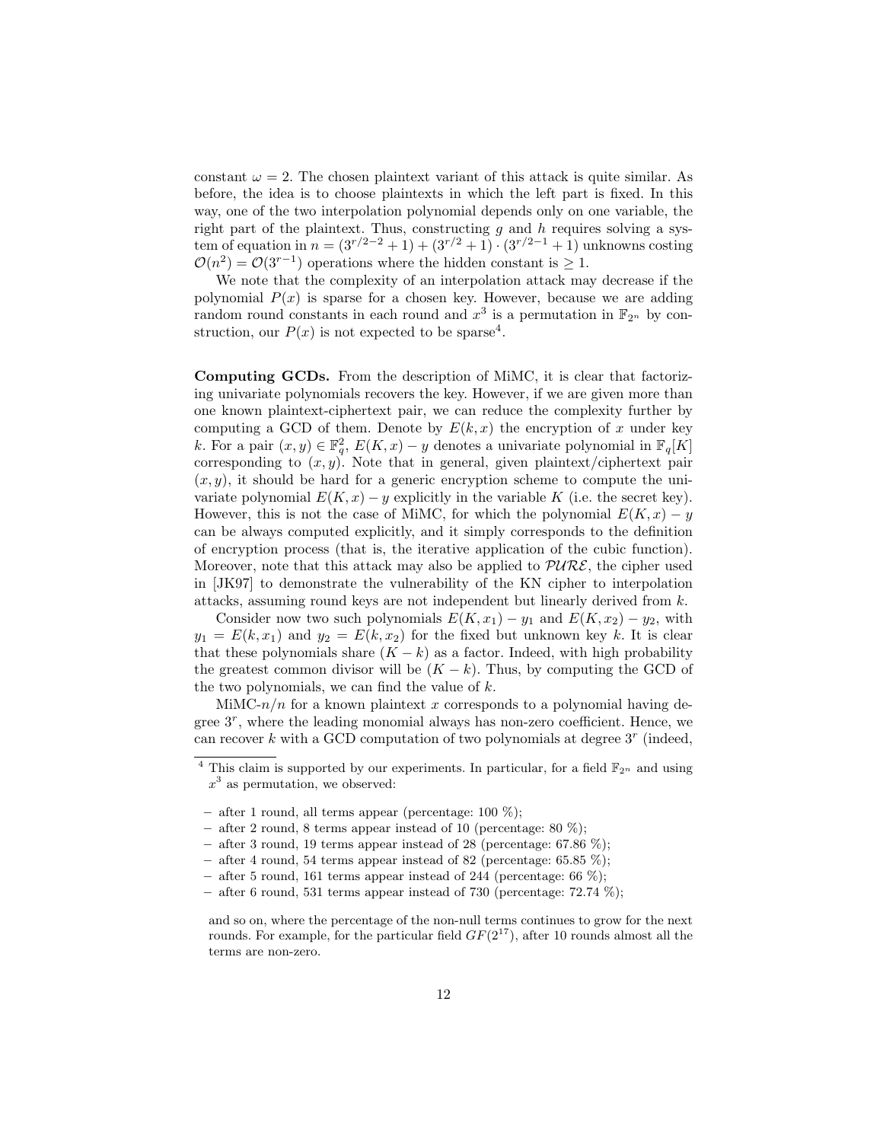constant  $\omega = 2$ . The chosen plaintext variant of this attack is quite similar. As before, the idea is to choose plaintexts in which the left part is fixed. In this way, one of the two interpolation polynomial depends only on one variable, the right part of the plaintext. Thus, constructing  $g$  and  $h$  requires solving a system of equation in  $n = (3^{r/2-2} + 1) + (3^{r/2} + 1) \cdot (3^{r/2-1} + 1)$  unknowns costing  $\mathcal{O}(n^2) = \mathcal{O}(3^{r-1})$  operations where the hidden constant is  $\geq 1$ .

We note that the complexity of an interpolation attack may decrease if the polynomial  $P(x)$  is sparse for a chosen key. However, because we are adding random round constants in each round and  $x^3$  is a permutation in  $\mathbb{F}_{2^n}$  by construction, our  $P(x)$  is not expected to be sparse<sup>4</sup>.

Computing GCDs. From the description of MiMC, it is clear that factorizing univariate polynomials recovers the key. However, if we are given more than one known plaintext-ciphertext pair, we can reduce the complexity further by computing a GCD of them. Denote by  $E(k, x)$  the encryption of x under key k. For a pair  $(x, y) \in \mathbb{F}_q^2$ ,  $E(K, x) - y$  denotes a univariate polynomial in  $\mathbb{F}_q[K]$ corresponding to  $(x, y)$ . Note that in general, given plaintext/ciphertext pair  $(x, y)$ , it should be hard for a generic encryption scheme to compute the univariate polynomial  $E(K, x) - y$  explicitly in the variable K (i.e. the secret key). However, this is not the case of MiMC, for which the polynomial  $E(K, x) - y$ can be always computed explicitly, and it simply corresponds to the definition of encryption process (that is, the iterative application of the cubic function). Moreover, note that this attack may also be applied to  $PURE$ , the cipher used in [JK97] to demonstrate the vulnerability of the KN cipher to interpolation attacks, assuming round keys are not independent but linearly derived from k.

Consider now two such polynomials  $E(K, x_1) - y_1$  and  $E(K, x_2) - y_2$ , with  $y_1 = E(k, x_1)$  and  $y_2 = E(k, x_2)$  for the fixed but unknown key k. It is clear that these polynomials share  $(K - k)$  as a factor. Indeed, with high probability the greatest common divisor will be  $(K - k)$ . Thus, by computing the GCD of the two polynomials, we can find the value of  $k$ .

MiMC- $n/n$  for a known plaintext x corresponds to a polynomial having degree 3<sup>r</sup> , where the leading monomial always has non-zero coefficient. Hence, we can recover  $k$  with a GCD computation of two polynomials at degree  $3<sup>r</sup>$  (indeed,

<sup>&</sup>lt;sup>4</sup> This claim is supported by our experiments. In particular, for a field  $\mathbb{F}_{2^n}$  and using  $x^3$  as permutation, we observed:

<sup>–</sup> after 1 round, all terms appear (percentage:  $100\%$ );

<sup>–</sup> after 2 round, 8 terms appear instead of 10 (percentage:  $80\%$ );

<sup>–</sup> after 3 round, 19 terms appear instead of 28 (percentage:  $67.86\%$ );

<sup>–</sup> after 4 round, 54 terms appear instead of 82 (percentage:  $65.85\%$ );

<sup>–</sup> after 5 round, 161 terms appear instead of 244 (percentage: 66  $\%$ );

<sup>–</sup> after 6 round, 531 terms appear instead of 730 (percentage:  $72.74\%$ );

and so on, where the percentage of the non-null terms continues to grow for the next rounds. For example, for the particular field  $GF(2^{17})$ , after 10 rounds almost all the terms are non-zero.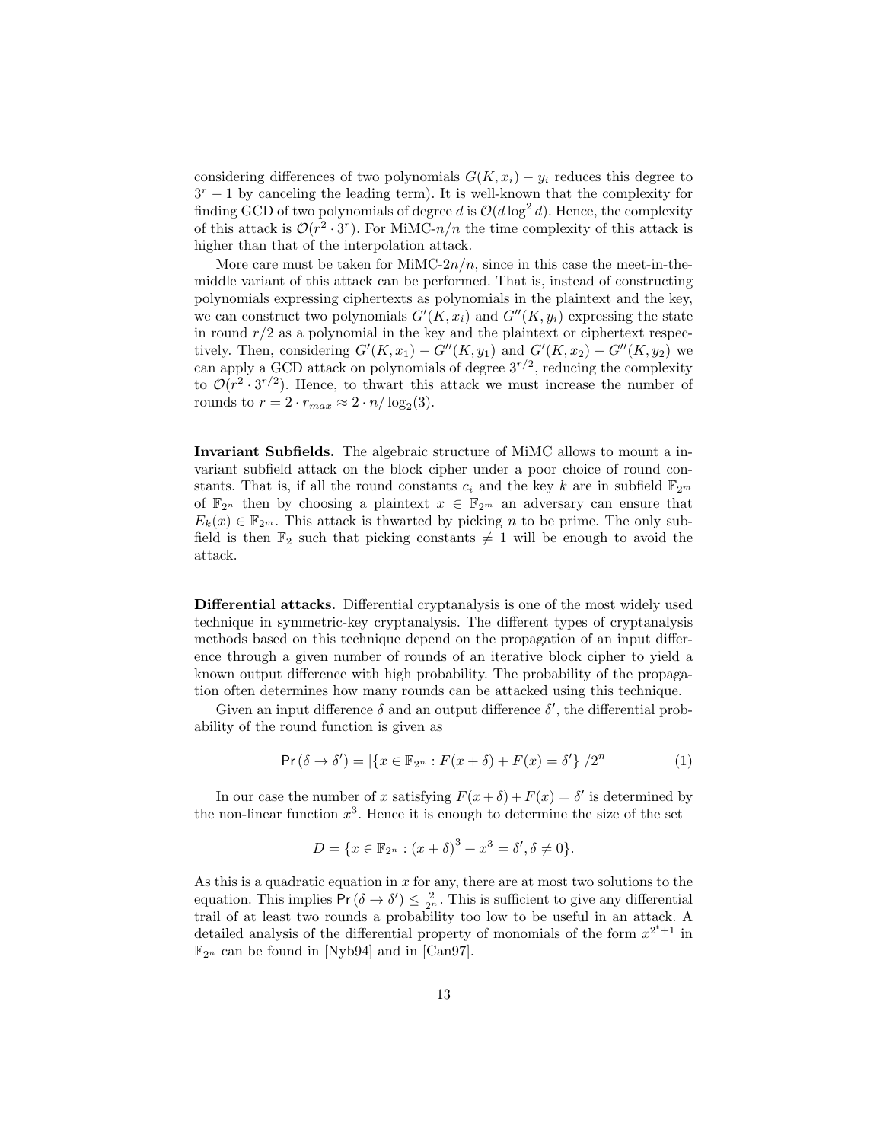considering differences of two polynomials  $G(K, x_i) - y_i$  reduces this degree to  $3<sup>r</sup> - 1$  by canceling the leading term). It is well-known that the complexity for finding GCD of two polynomials of degree d is  $\mathcal{O}(d \log^2 d)$ . Hence, the complexity of this attack is  $\mathcal{O}(r^2 \cdot 3^r)$ . For MiMC-n/n the time complexity of this attack is higher than that of the interpolation attack.

More care must be taken for MiMC- $2n/n$ , since in this case the meet-in-themiddle variant of this attack can be performed. That is, instead of constructing polynomials expressing ciphertexts as polynomials in the plaintext and the key, we can construct two polynomials  $G'(K, x_i)$  and  $G''(K, y_i)$  expressing the state in round  $r/2$  as a polynomial in the key and the plaintext or ciphertext respectively. Then, considering  $G'(K, x_1) - G''(K, y_1)$  and  $G'(K, x_2) - G''(K, y_2)$  we can apply a GCD attack on polynomials of degree  $3^{r/2}$ , reducing the complexity to  $\mathcal{O}(r^2 \cdot 3^{r/2})$ . Hence, to thwart this attack we must increase the number of rounds to  $r = 2 \cdot r_{max} \approx 2 \cdot n / \log_2(3)$ .

Invariant Subfields. The algebraic structure of MiMC allows to mount a invariant subfield attack on the block cipher under a poor choice of round constants. That is, if all the round constants  $c_i$  and the key k are in subfield  $\mathbb{F}_{2^m}$ of  $\mathbb{F}_{2^n}$  then by choosing a plaintext  $x \in \mathbb{F}_{2^m}$  an adversary can ensure that  $E_k(x) \in \mathbb{F}_{2^m}$ . This attack is thwarted by picking n to be prime. The only subfield is then  $\mathbb{F}_2$  such that picking constants  $\neq 1$  will be enough to avoid the attack.

Differential attacks. Differential cryptanalysis is one of the most widely used technique in symmetric-key cryptanalysis. The different types of cryptanalysis methods based on this technique depend on the propagation of an input difference through a given number of rounds of an iterative block cipher to yield a known output difference with high probability. The probability of the propagation often determines how many rounds can be attacked using this technique.

Given an input difference  $\delta$  and an output difference  $\delta'$ , the differential probability of the round function is given as

$$
\Pr(\delta \to \delta') = |\{x \in \mathbb{F}_{2^n} : F(x + \delta) + F(x) = \delta'\}|/2^n \tag{1}
$$

In our case the number of x satisfying  $F(x+\delta) + F(x) = \delta'$  is determined by the non-linear function  $x^3$ . Hence it is enough to determine the size of the set

$$
D = \{x \in \mathbb{F}_{2^n} : (x + \delta)^3 + x^3 = \delta', \delta \neq 0\}.
$$

As this is a quadratic equation in  $x$  for any, there are at most two solutions to the equation. This implies  $Pr(\delta \to \delta') \leq \frac{2}{2^n}$ . This is sufficient to give any differential trail of at least two rounds a probability too low to be useful in an attack. A detailed analysis of the differential property of monomials of the form  $x^{2^t+1}$  in  $\mathbb{F}_{2^n}$  can be found in [Nyb94] and in [Can97].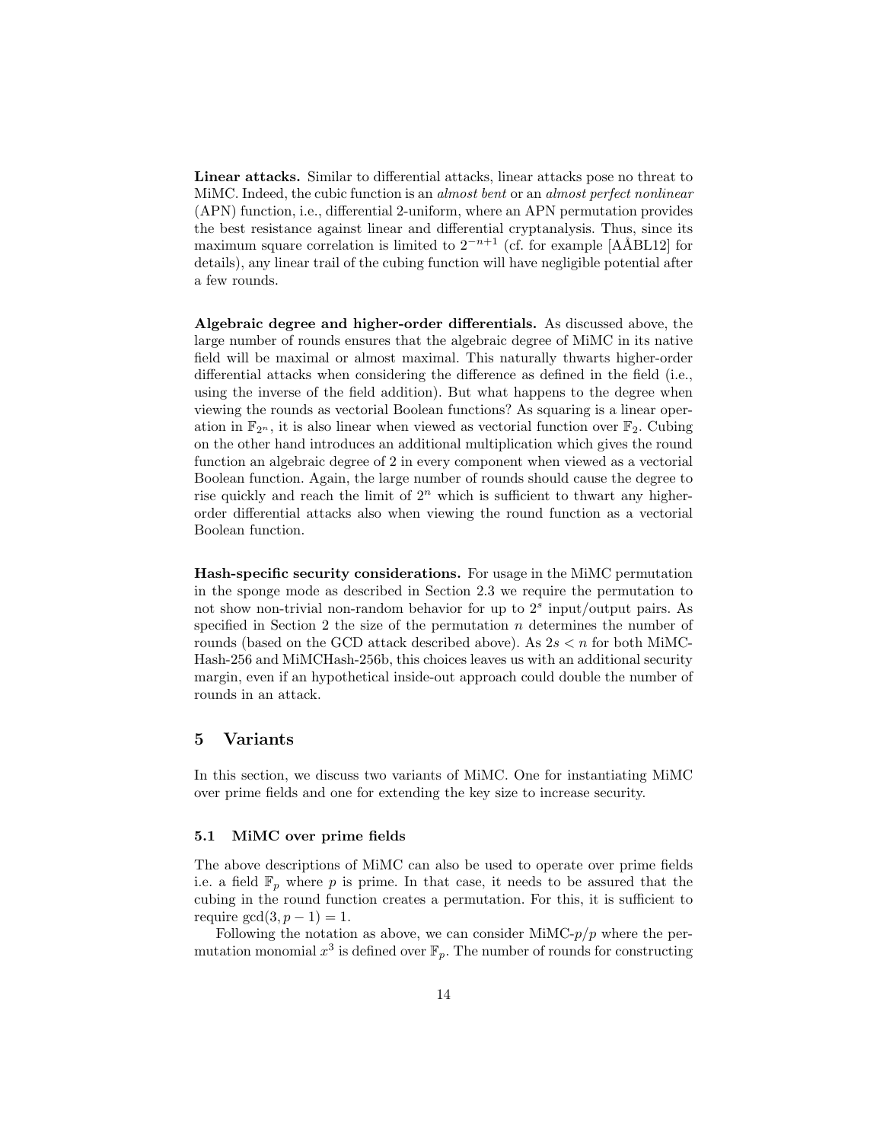Linear attacks. Similar to differential attacks, linear attacks pose no threat to MiMC. Indeed, the cubic function is an *almost bent* or an *almost perfect nonlinear* (APN) function, i.e., differential 2-uniform, where an APN permutation provides the best resistance against linear and differential cryptanalysis. Thus, since its maximum square correlation is limited to  $2^{-n+1}$  (cf. for example [AÅBL12] for details), any linear trail of the cubing function will have negligible potential after a few rounds.

Algebraic degree and higher-order differentials. As discussed above, the large number of rounds ensures that the algebraic degree of MiMC in its native field will be maximal or almost maximal. This naturally thwarts higher-order differential attacks when considering the difference as defined in the field (i.e., using the inverse of the field addition). But what happens to the degree when viewing the rounds as vectorial Boolean functions? As squaring is a linear operation in  $\mathbb{F}_{2^n}$ , it is also linear when viewed as vectorial function over  $\mathbb{F}_2$ . Cubing on the other hand introduces an additional multiplication which gives the round function an algebraic degree of 2 in every component when viewed as a vectorial Boolean function. Again, the large number of rounds should cause the degree to rise quickly and reach the limit of  $2<sup>n</sup>$  which is sufficient to thwart any higherorder differential attacks also when viewing the round function as a vectorial Boolean function.

Hash-specific security considerations. For usage in the MiMC permutation in the sponge mode as described in Section 2.3 we require the permutation to not show non-trivial non-random behavior for up to  $2<sup>s</sup>$  input/output pairs. As specified in Section 2 the size of the permutation  $n$  determines the number of rounds (based on the GCD attack described above). As  $2s < n$  for both MiMC-Hash-256 and MiMCHash-256b, this choices leaves us with an additional security margin, even if an hypothetical inside-out approach could double the number of rounds in an attack.

## 5 Variants

In this section, we discuss two variants of MiMC. One for instantiating MiMC over prime fields and one for extending the key size to increase security.

#### 5.1 MiMC over prime fields

The above descriptions of MiMC can also be used to operate over prime fields i.e. a field  $\mathbb{F}_p$  where p is prime. In that case, it needs to be assured that the cubing in the round function creates a permutation. For this, it is sufficient to require  $gcd(3, p - 1) = 1$ .

Following the notation as above, we can consider MiMC- $p/p$  where the permutation monomial  $x^3$  is defined over  $\mathbb{F}_p$ . The number of rounds for constructing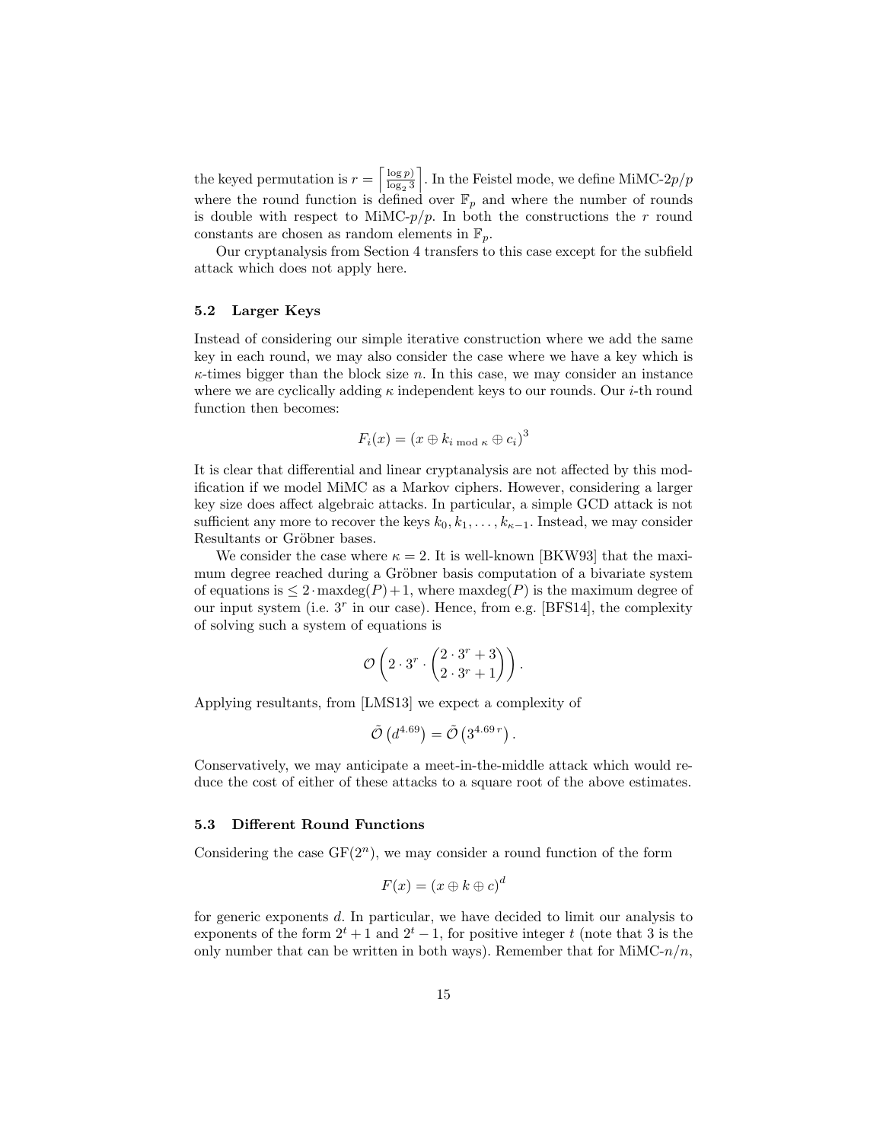the keyed permutation is  $r = \left[\frac{\log p}{\log 3}\right]$  $log_2 3$ . In the Feistel mode, we define MiMC- $2p/p$ where the round function is defined over  $\mathbb{F}_p$  and where the number of rounds is double with respect to MiMC- $p/p$ . In both the constructions the r round constants are chosen as random elements in  $\mathbb{F}_p$ .

Our cryptanalysis from Section 4 transfers to this case except for the subfield attack which does not apply here.

#### 5.2 Larger Keys

Instead of considering our simple iterative construction where we add the same key in each round, we may also consider the case where we have a key which is  $\kappa$ -times bigger than the block size n. In this case, we may consider an instance where we are cyclically adding  $\kappa$  independent keys to our rounds. Our *i*-th round function then becomes:

$$
F_i(x) = (x \oplus k_{i \bmod \kappa} \oplus c_i)^3
$$

It is clear that differential and linear cryptanalysis are not affected by this modification if we model MiMC as a Markov ciphers. However, considering a larger key size does affect algebraic attacks. In particular, a simple GCD attack is not sufficient any more to recover the keys  $k_0, k_1, \ldots, k_{\kappa-1}$ . Instead, we may consider Resultants or Gröbner bases.

We consider the case where  $\kappa = 2$ . It is well-known [BKW93] that the maximum degree reached during a Gröbner basis computation of a bivariate system of equations is  $\leq 2 \cdot \text{maxdeg}(P) + 1$ , where maximum degree of our input system (i.e.  $3<sup>r</sup>$  in our case). Hence, from e.g. [BFS14], the complexity of solving such a system of equations is

$$
\mathcal{O}\left(2\cdot 3^r\cdot \binom{2\cdot 3^r+3}{2\cdot 3^r+1}\right).
$$

Applying resultants, from [LMS13] we expect a complexity of

$$
\tilde{\mathcal{O}}\left(d^{4.69}\right) = \tilde{\mathcal{O}}\left(3^{4.69 r}\right).
$$

Conservatively, we may anticipate a meet-in-the-middle attack which would reduce the cost of either of these attacks to a square root of the above estimates.

#### 5.3 Different Round Functions

Considering the case  $GF(2^n)$ , we may consider a round function of the form

$$
F(x) = (x \oplus k \oplus c)^d
$$

for generic exponents d. In particular, we have decided to limit our analysis to exponents of the form  $2^t + 1$  and  $2^t - 1$ , for positive integer t (note that 3 is the only number that can be written in both ways). Remember that for  $MinC-n/n$ ,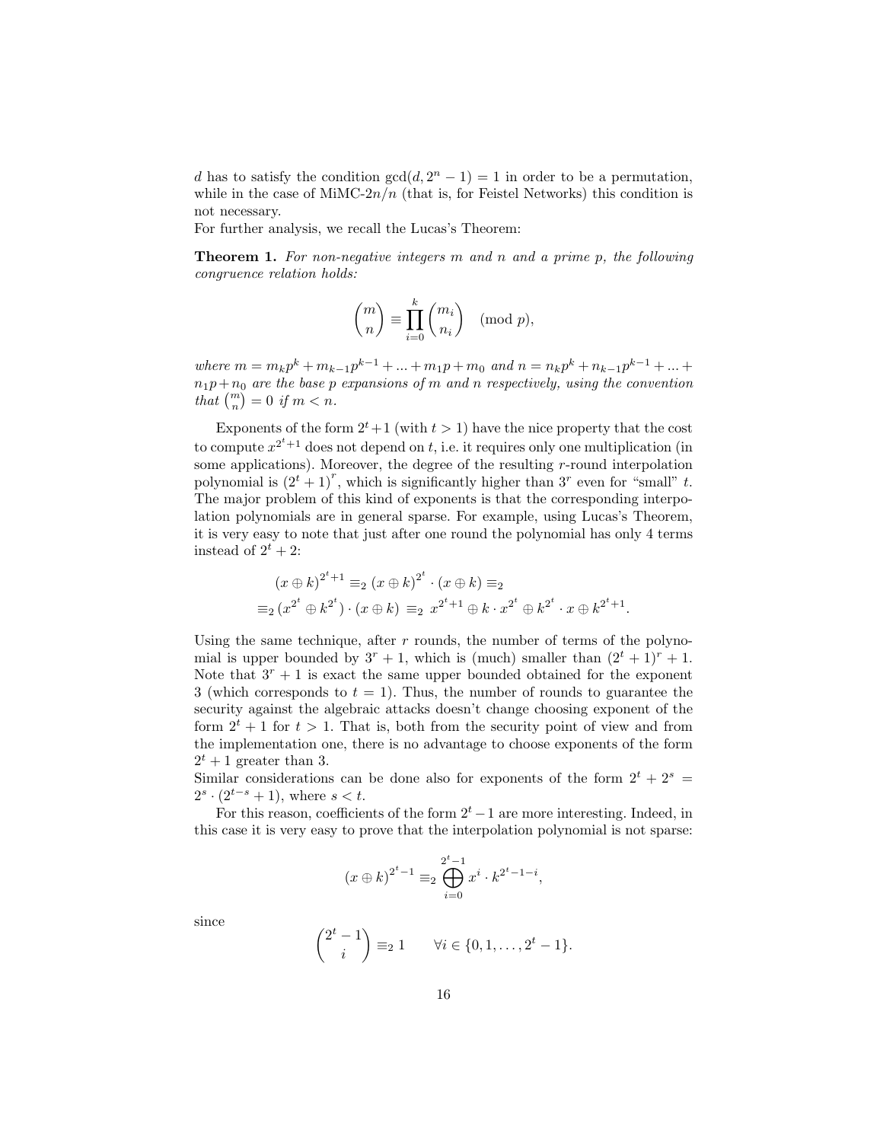d has to satisfy the condition  $gcd(d, 2^n - 1) = 1$  in order to be a permutation, while in the case of MiMC- $2n/n$  (that is, for Feistel Networks) this condition is not necessary.

For further analysis, we recall the Lucas's Theorem:

**Theorem 1.** For non-negative integers m and n and a prime p, the following congruence relation holds:

$$
\binom{m}{n} \equiv \prod_{i=0}^k \binom{m_i}{n_i} \pmod{p},
$$

where  $m = m_k p^k + m_{k-1} p^{k-1} + ... + m_1 p + m_0$  and  $n = n_k p^k + n_{k-1} p^{k-1} + ... +$  $n_1p+n_0$  are the base p expansions of m and n respectively, using the convention that  $\binom{m}{n} = 0$  if  $m < n$ .

Exponents of the form  $2^t+1$  (with  $t > 1$ ) have the nice property that the cost to compute  $x^{2^t+1}$  does not depend on t, i.e. it requires only one multiplication (in some applications). Moreover, the degree of the resulting  $r$ -round interpolation polynomial is  $(2^t + 1)^r$ , which is significantly higher than 3<sup>r</sup> even for "small" t. The major problem of this kind of exponents is that the corresponding interpolation polynomials are in general sparse. For example, using Lucas's Theorem, it is very easy to note that just after one round the polynomial has only 4 terms instead of  $2^t + 2$ :

$$
(x \oplus k)^{2^t+1} \equiv_2 (x \oplus k)^{2^t} \cdot (x \oplus k) \equiv_2
$$
  

$$
\equiv_2 (x^{2^t} \oplus k^{2^t}) \cdot (x \oplus k) \equiv_2 x^{2^t+1} \oplus k \cdot x^{2^t} \oplus k^{2^t} \cdot x \oplus k^{2^t+1}.
$$

Using the same technique, after  $r$  rounds, the number of terms of the polynomial is upper bounded by  $3^r + 1$ , which is (much) smaller than  $(2^t + 1)^r + 1$ . Note that  $3<sup>r</sup> + 1$  is exact the same upper bounded obtained for the exponent 3 (which corresponds to  $t = 1$ ). Thus, the number of rounds to guarantee the security against the algebraic attacks doesn't change choosing exponent of the form  $2^t + 1$  for  $t > 1$ . That is, both from the security point of view and from the implementation one, there is no advantage to choose exponents of the form  $2^t + 1$  greater than 3.

Similar considerations can be done also for exponents of the form  $2^t + 2^s =$  $2^s \cdot (2^{t-s} + 1)$ , where  $s < t$ .

For this reason, coefficients of the form  $2<sup>t</sup> - 1$  are more interesting. Indeed, in this case it is very easy to prove that the interpolation polynomial is not sparse:

$$
(x \oplus k)^{2^t - 1} \equiv_2 \bigoplus_{i=0}^{2^t - 1} x^i \cdot k^{2^t - 1 - i},
$$

since

$$
\binom{2^t - 1}{i} \equiv_2 1 \qquad \forall i \in \{0, 1, \dots, 2^t - 1\}.
$$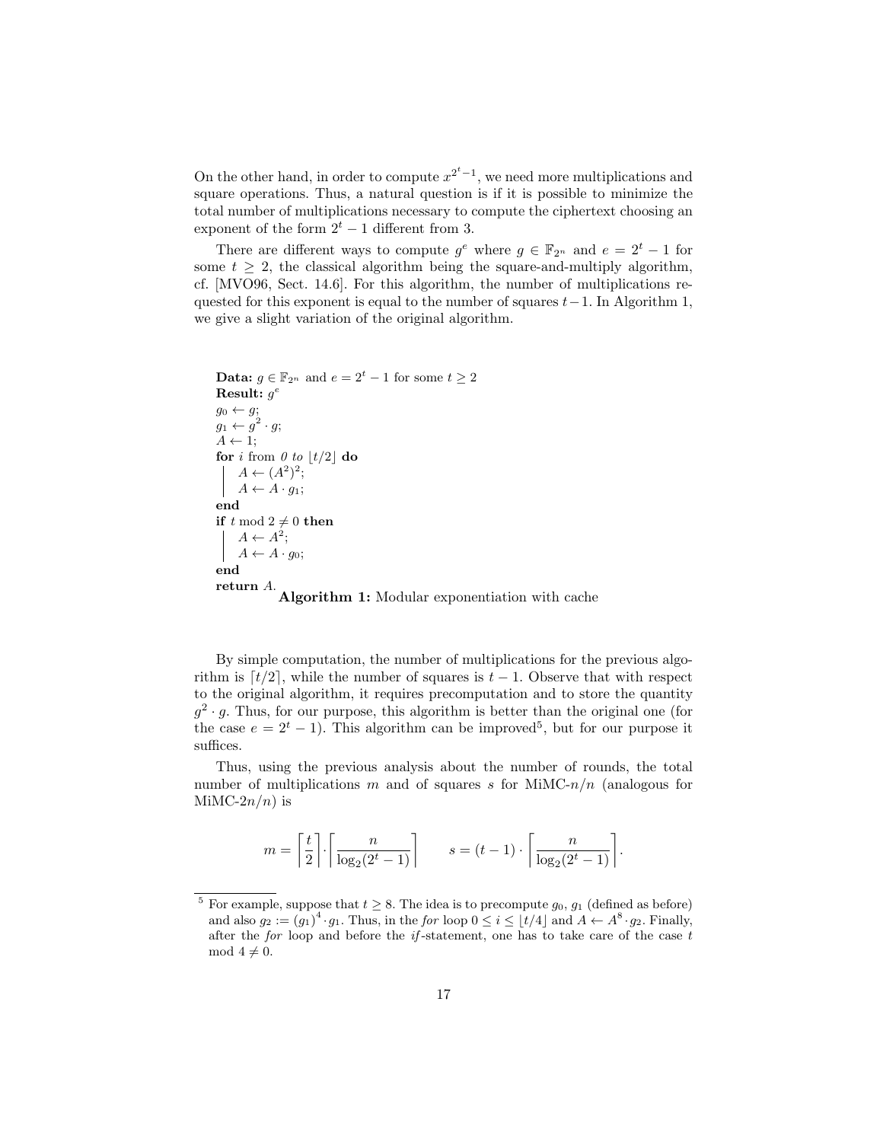On the other hand, in order to compute  $x^{2^t-1}$ , we need more multiplications and square operations. Thus, a natural question is if it is possible to minimize the total number of multiplications necessary to compute the ciphertext choosing an exponent of the form  $2<sup>t</sup> - 1$  different from 3.

There are different ways to compute  $g^e$  where  $g \in \mathbb{F}_{2^n}$  and  $e = 2^t - 1$  for some  $t \geq 2$ , the classical algorithm being the square-and-multiply algorithm, cf. [MVO96, Sect. 14.6]. For this algorithm, the number of multiplications requested for this exponent is equal to the number of squares  $t-1$ . In Algorithm 1, we give a slight variation of the original algorithm.

```
Data: q \in \mathbb{F}_{2^n} and e = 2^t - 1 for some t > 2\textbf{Result: } g^eg_0 \leftarrow g;g_1 \leftarrow g^2 \cdot g;A \leftarrow 1;
for i from \theta to \left|t/2\right| do
      A \leftarrow (A^2)^2;A \leftarrow A \cdot g_1;end
if t mod 2 \neq 0 then
      A \leftarrow A^2;\mid A \leftarrow A \cdot g_0;end
return A.<br>
Algorithm 1: Modular exponentiation with cache
```
By simple computation, the number of multiplications for the previous algorithm is  $[t/2]$ , while the number of squares is  $t - 1$ . Observe that with respect to the original algorithm, it requires precomputation and to store the quantity  $g^2 \cdot g$ . Thus, for our purpose, this algorithm is better than the original one (for the case  $e = 2^t - 1$ ). This algorithm can be improved<sup>5</sup>, but for our purpose it suffices.

Thus, using the previous analysis about the number of rounds, the total number of multiplications m and of squares s for MiMC- $n/n$  (analogous for MiMC- $2n/n$ ) is

$$
m = \left\lceil \frac{t}{2} \right\rceil \cdot \left\lceil \frac{n}{\log_2(2^t - 1)} \right\rceil \qquad s = (t - 1) \cdot \left\lceil \frac{n}{\log_2(2^t - 1)} \right\rceil.
$$

<sup>&</sup>lt;sup>5</sup> For example, suppose that  $t \geq 8$ . The idea is to precompute  $g_0, g_1$  (defined as before) and also  $g_2 := (g_1)^4 \cdot g_1$ . Thus, in the for loop  $0 \le i \le \lfloor t/4 \rfloor$  and  $A \leftarrow A^8 \cdot g_2$ . Finally, after the for loop and before the  $if$ -statement, one has to take care of the case  $t$ mod  $4 \neq 0$ .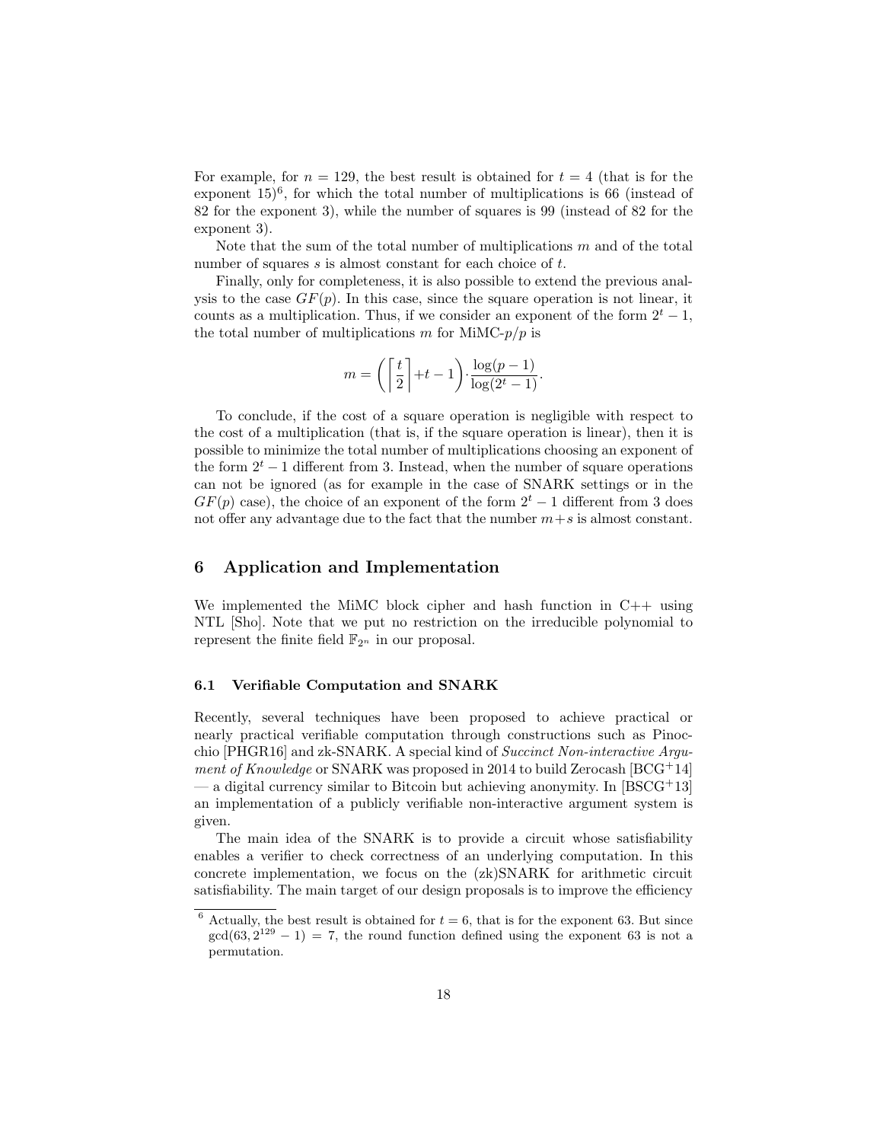For example, for  $n = 129$ , the best result is obtained for  $t = 4$  (that is for the exponent  $15)^6$ , for which the total number of multiplications is 66 (instead of 82 for the exponent 3), while the number of squares is 99 (instead of 82 for the exponent 3).

Note that the sum of the total number of multiplications  $m$  and of the total number of squares s is almost constant for each choice of t.

Finally, only for completeness, it is also possible to extend the previous analysis to the case  $GF(p)$ . In this case, since the square operation is not linear, it counts as a multiplication. Thus, if we consider an exponent of the form  $2^t - 1$ , the total number of multiplications m for MiMC- $p/p$  is

$$
m = \left( \left\lceil \frac{t}{2} \right\rceil + t - 1 \right) \cdot \frac{\log(p-1)}{\log(2^t - 1)}.
$$

To conclude, if the cost of a square operation is negligible with respect to the cost of a multiplication (that is, if the square operation is linear), then it is possible to minimize the total number of multiplications choosing an exponent of the form  $2<sup>t</sup> - 1$  different from 3. Instead, when the number of square operations can not be ignored (as for example in the case of SNARK settings or in the  $GF(p)$  case), the choice of an exponent of the form  $2<sup>t</sup> - 1$  different from 3 does not offer any advantage due to the fact that the number  $m+s$  is almost constant.

# 6 Application and Implementation

We implemented the MiMC block cipher and hash function in  $C++$  using NTL [Sho]. Note that we put no restriction on the irreducible polynomial to represent the finite field  $\mathbb{F}_{2^n}$  in our proposal.

## 6.1 Verifiable Computation and SNARK

Recently, several techniques have been proposed to achieve practical or nearly practical verifiable computation through constructions such as Pinocchio [PHGR16] and zk-SNARK. A special kind of Succinct Non-interactive Argument of Knowledge or SNARK was proposed in 2014 to build Zerocash [BCG+14]  $-$  a digital currency similar to Bitcoin but achieving anonymity. In [BSCG+13] an implementation of a publicly verifiable non-interactive argument system is given.

The main idea of the SNARK is to provide a circuit whose satisfiability enables a verifier to check correctness of an underlying computation. In this concrete implementation, we focus on the (zk)SNARK for arithmetic circuit satisfiability. The main target of our design proposals is to improve the efficiency

<sup>&</sup>lt;sup>6</sup> Actually, the best result is obtained for  $t = 6$ , that is for the exponent 63. But since  $gcd(63, 2^{129} - 1) = 7$ , the round function defined using the exponent 63 is not a permutation.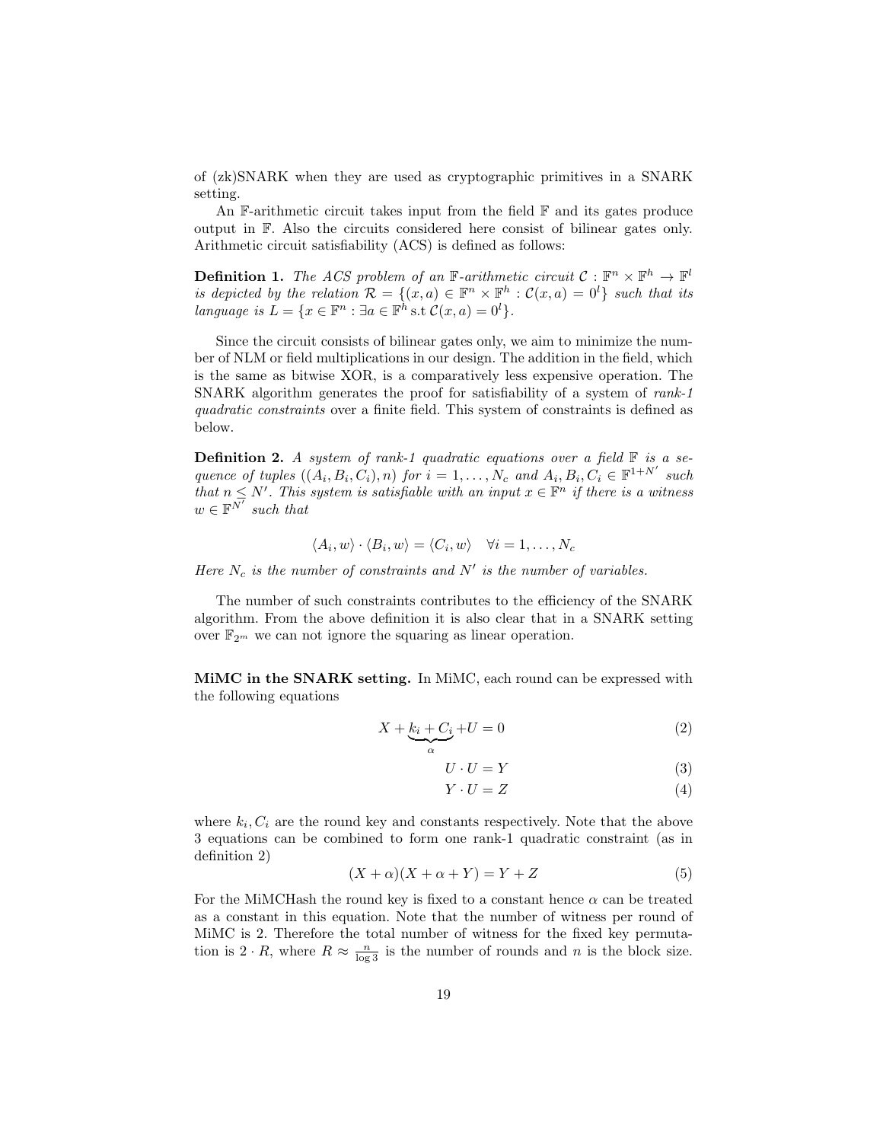of (zk)SNARK when they are used as cryptographic primitives in a SNARK setting.

An  $\mathbb{F}\text{-arithmetic circuit takes input from the field } \mathbb{F}$  and its gates produce output in F. Also the circuits considered here consist of bilinear gates only. Arithmetic circuit satisfiability (ACS) is defined as follows:

**Definition 1.** The ACS problem of an F-arithmetic circuit  $C : \mathbb{F}^n \times \mathbb{F}^h \to \mathbb{F}^l$ is depicted by the relation  $\mathcal{R} = \{(x, a) \in \mathbb{F}^n \times \mathbb{F}^h : C(x, a) = 0^l\}$  such that its language is  $L = \{x \in \mathbb{F}^n : \exists a \in \mathbb{F}^h \text{ s.t } \mathcal{C}(x, a) = 0^l\}.$ 

Since the circuit consists of bilinear gates only, we aim to minimize the number of NLM or field multiplications in our design. The addition in the field, which is the same as bitwise XOR, is a comparatively less expensive operation. The SNARK algorithm generates the proof for satisfiability of a system of rank-1 quadratic constraints over a finite field. This system of constraints is defined as below.

**Definition 2.** A system of rank-1 quadratic equations over a field  $\mathbb{F}$  is a sequence of tuples  $((A_i, B_i, C_i), n)$  for  $i = 1, ..., N_c$  and  $A_i, B_i, C_i \in \mathbb{F}^{1+N'}$  such that  $n \leq N'$ . This system is satisfiable with an input  $x \in \mathbb{F}^n$  if there is a witness  $w \in \mathbb{F}^{\overline{N'}}$  such that

$$
\langle A_i, w \rangle \cdot \langle B_i, w \rangle = \langle C_i, w \rangle \quad \forall i = 1, \dots, N_c
$$

Here  $N_c$  is the number of constraints and  $N'$  is the number of variables.

The number of such constraints contributes to the efficiency of the SNARK algorithm. From the above definition it is also clear that in a SNARK setting over  $\mathbb{F}_{2^m}$  we can not ignore the squaring as linear operation.

MiMC in the SNARK setting. In MiMC, each round can be expressed with the following equations

$$
X + \underbrace{k_i + C_i}_{\alpha} + U = 0 \tag{2}
$$

$$
U \cdot U = Y \tag{3}
$$

 $Y \cdot U = Z$  (4)

where  $k_i$ ,  $C_i$  are the round key and constants respectively. Note that the above 3 equations can be combined to form one rank-1 quadratic constraint (as in definition 2)

$$
(X + \alpha)(X + \alpha + Y) = Y + Z \tag{5}
$$

For the MiMCHash the round key is fixed to a constant hence  $\alpha$  can be treated as a constant in this equation. Note that the number of witness per round of MiMC is 2. Therefore the total number of witness for the fixed key permutation is  $2 \cdot R$ , where  $R \approx \frac{n}{\log 3}$  is the number of rounds and n is the block size.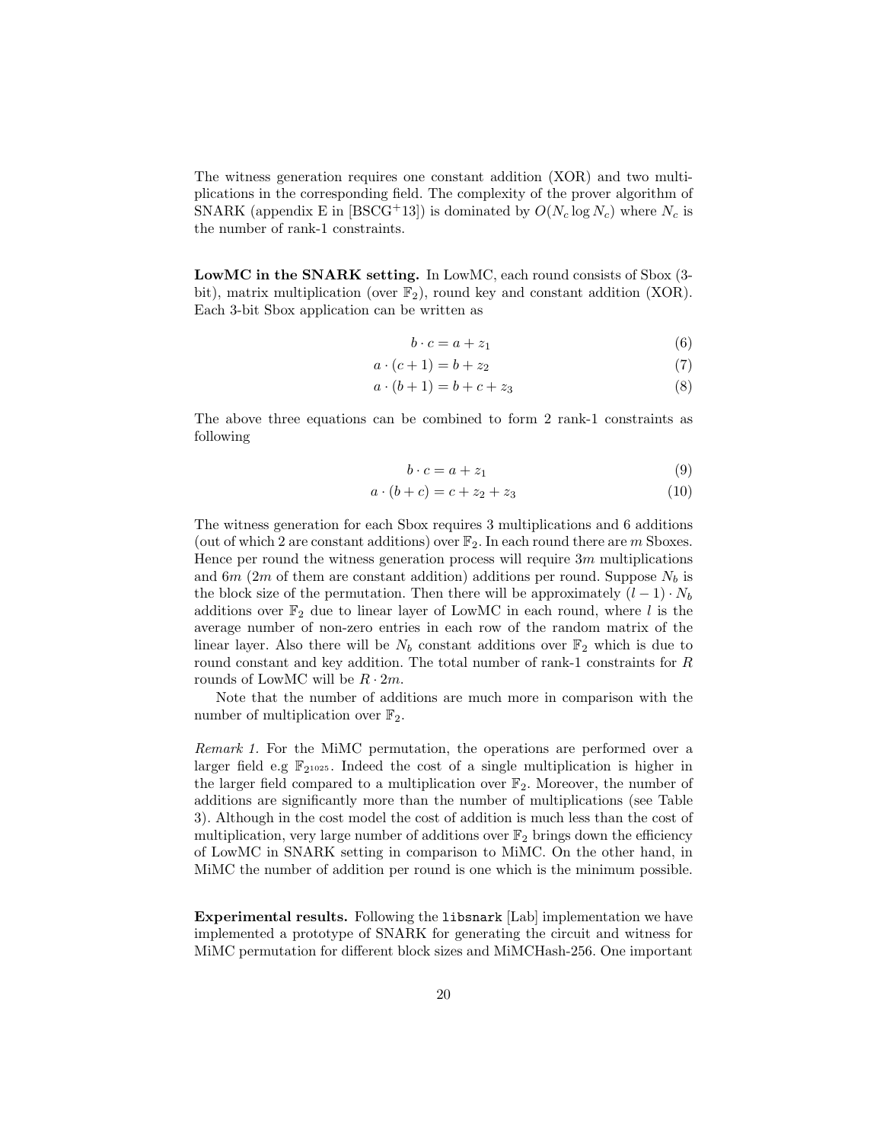The witness generation requires one constant addition (XOR) and two multiplications in the corresponding field. The complexity of the prover algorithm of SNARK (appendix E in [BSCG+13]) is dominated by  $O(N_c \log N_c)$  where  $N_c$  is the number of rank-1 constraints.

LowMC in the SNARK setting. In LowMC, each round consists of Sbox (3 bit), matrix multiplication (over  $\mathbb{F}_2$ ), round key and constant addition (XOR). Each 3-bit Sbox application can be written as

$$
b \cdot c = a + z_1 \tag{6}
$$

$$
a \cdot (c+1) = b + z_2 \tag{7}
$$

$$
a \cdot (b+1) = b + c + z_3 \tag{8}
$$

The above three equations can be combined to form 2 rank-1 constraints as following

$$
b \cdot c = a + z_1 \tag{9}
$$

$$
a \cdot (b + c) = c + z_2 + z_3 \tag{10}
$$

The witness generation for each Sbox requires 3 multiplications and 6 additions (out of which 2 are constant additions) over  $\mathbb{F}_2$ . In each round there are m Sboxes. Hence per round the witness generation process will require 3m multiplications and 6m (2m of them are constant addition) additions per round. Suppose  $N_b$  is the block size of the permutation. Then there will be approximately  $(l-1) \cdot N_b$ additions over  $\mathbb{F}_2$  due to linear layer of LowMC in each round, where l is the average number of non-zero entries in each row of the random matrix of the linear layer. Also there will be  $N_b$  constant additions over  $\mathbb{F}_2$  which is due to round constant and key addition. The total number of rank-1 constraints for R rounds of LowMC will be  $R \cdot 2m$ .

Note that the number of additions are much more in comparison with the number of multiplication over  $\mathbb{F}_2$ .

Remark 1. For the MiMC permutation, the operations are performed over a larger field e.g  $\mathbb{F}_{2^{1025}}$ . Indeed the cost of a single multiplication is higher in the larger field compared to a multiplication over  $\mathbb{F}_2$ . Moreover, the number of additions are significantly more than the number of multiplications (see Table 3). Although in the cost model the cost of addition is much less than the cost of multiplication, very large number of additions over  $\mathbb{F}_2$  brings down the efficiency of LowMC in SNARK setting in comparison to MiMC. On the other hand, in MiMC the number of addition per round is one which is the minimum possible.

Experimental results. Following the libsnark [Lab] implementation we have implemented a prototype of SNARK for generating the circuit and witness for MiMC permutation for different block sizes and MiMCHash-256. One important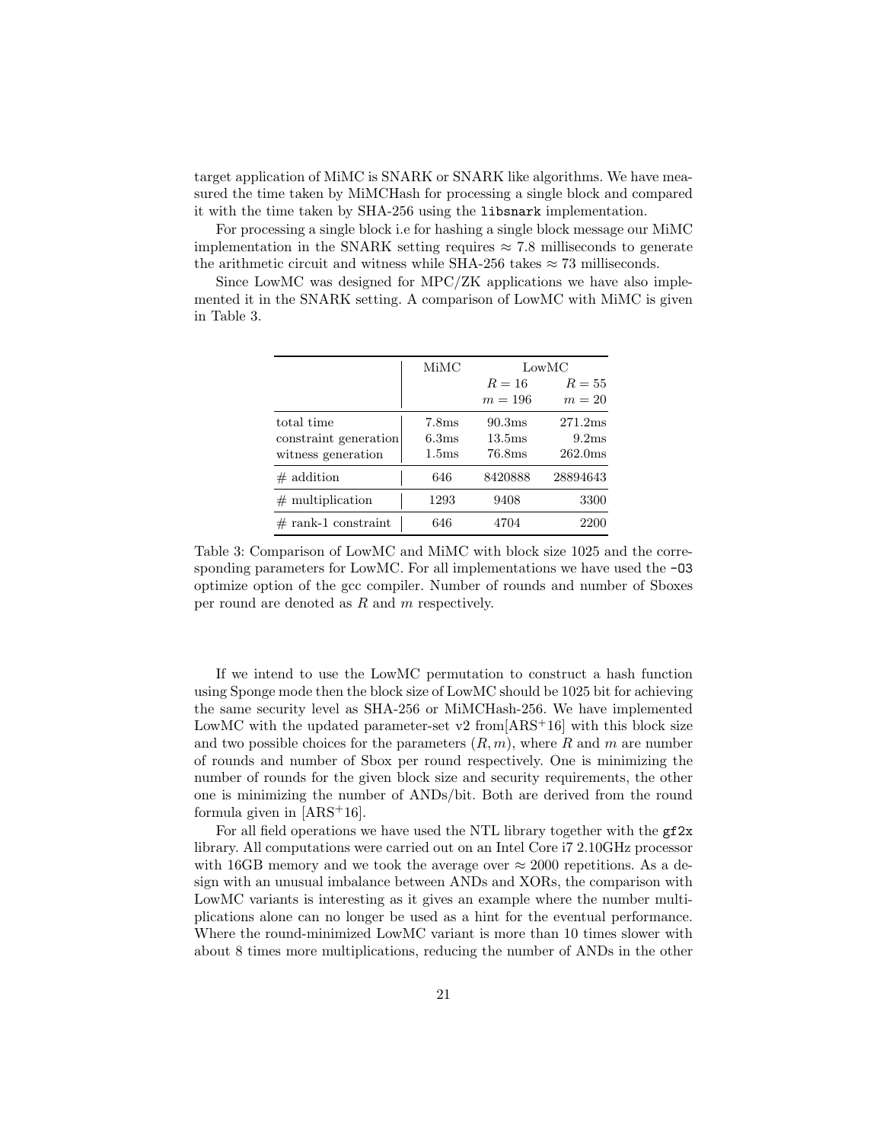target application of MiMC is SNARK or SNARK like algorithms. We have measured the time taken by MiMCHash for processing a single block and compared it with the time taken by SHA-256 using the libsnark implementation.

For processing a single block i.e for hashing a single block message our MiMC implementation in the SNARK setting requires  $\approx 7.8$  milliseconds to generate the arithmetic circuit and witness while SHA-256 takes  $\approx 73$  milliseconds.

Since LowMC was designed for MPC/ZK applications we have also implemented it in the SNARK setting. A comparison of LowMC with MiMC is given in Table 3.

|                       | MiMC              | LowMC              |                     |
|-----------------------|-------------------|--------------------|---------------------|
|                       |                   | $R=16$             | $R=55$              |
|                       |                   | $m=196$            | $m=20$              |
| total time            | 7.8 <sub>ms</sub> | 90.3ms             | 271.2ms             |
| constraint generation | 6.3 <sub>ms</sub> | 13.5 <sub>ms</sub> | 9.2ms               |
| witness generation    | 1.5 <sub>ms</sub> | 76.8 <sub>ms</sub> | 262.0 <sub>ms</sub> |
| $\#$ addition         | 646               | 8420888            | 28894643            |
| $\#$ multiplication   | 1293              | 9408               | 3300                |
| $#$ rank-1 constraint | 646               | 4704               | 2200                |

Table 3: Comparison of LowMC and MiMC with block size 1025 and the corresponding parameters for LowMC. For all implementations we have used the  $-03$ optimize option of the gcc compiler. Number of rounds and number of Sboxes per round are denoted as R and m respectively.

If we intend to use the LowMC permutation to construct a hash function using Sponge mode then the block size of LowMC should be 1025 bit for achieving the same security level as SHA-256 or MiMCHash-256. We have implemented LowMC with the updated parameter-set v2 from  $ARS<sup>+</sup>16$  with this block size and two possible choices for the parameters  $(R, m)$ , where R and m are number of rounds and number of Sbox per round respectively. One is minimizing the number of rounds for the given block size and security requirements, the other one is minimizing the number of ANDs/bit. Both are derived from the round formula given in  $[ARS<sup>+</sup>16]$ .

For all field operations we have used the NTL library together with the  $gf2x$ library. All computations were carried out on an Intel Core i7 2.10GHz processor with 16GB memory and we took the average over  $\approx 2000$  repetitions. As a design with an unusual imbalance between ANDs and XORs, the comparison with LowMC variants is interesting as it gives an example where the number multiplications alone can no longer be used as a hint for the eventual performance. Where the round-minimized LowMC variant is more than 10 times slower with about 8 times more multiplications, reducing the number of ANDs in the other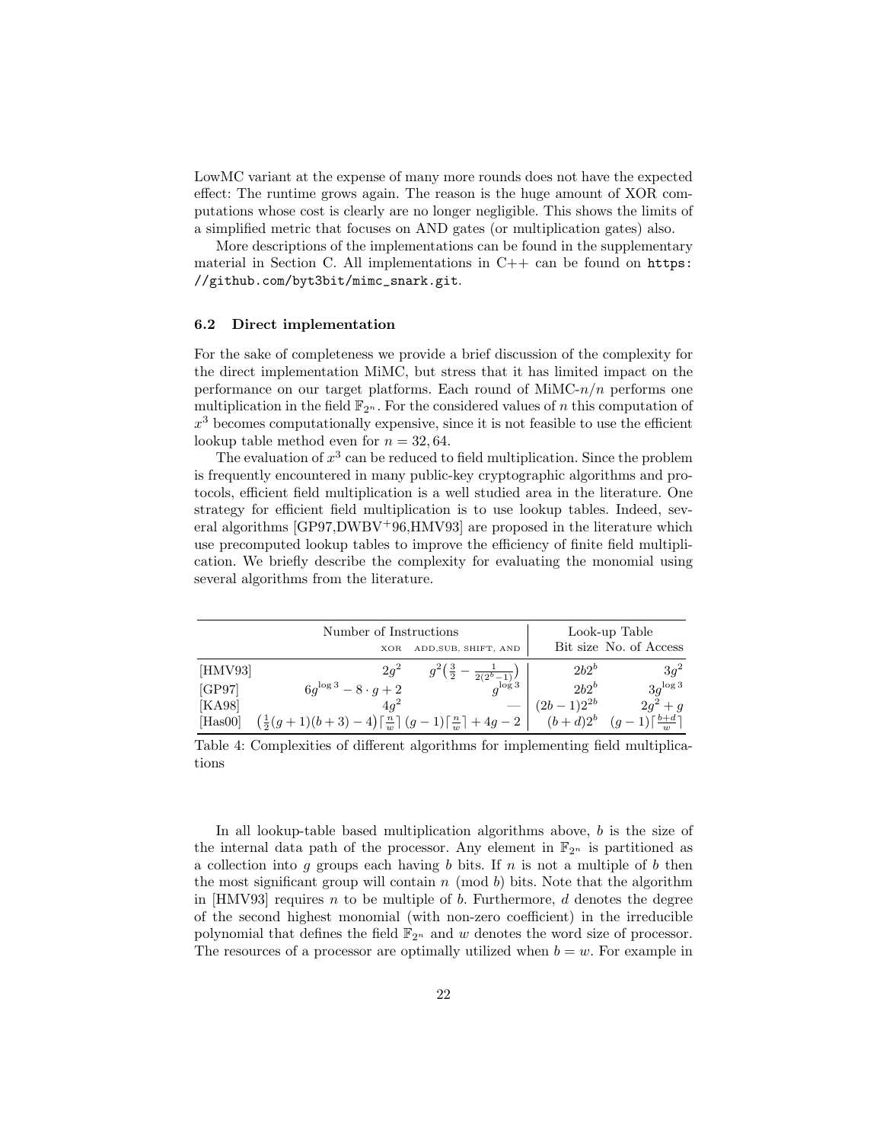LowMC variant at the expense of many more rounds does not have the expected effect: The runtime grows again. The reason is the huge amount of XOR computations whose cost is clearly are no longer negligible. This shows the limits of a simplified metric that focuses on AND gates (or multiplication gates) also.

More descriptions of the implementations can be found in the supplementary material in Section C. All implementations in  $C++$  can be found on  $https:$ //github.com/byt3bit/mimc\_snark.git.

#### 6.2 Direct implementation

For the sake of completeness we provide a brief discussion of the complexity for the direct implementation MiMC, but stress that it has limited impact on the performance on our target platforms. Each round of  $M \in \mathbb{R}^n$  performs one multiplication in the field  $\mathbb{F}_{2^n}$ . For the considered values of n this computation of  $x^3$  becomes computationally expensive, since it is not feasible to use the efficient lookup table method even for  $n = 32,64$ .

The evaluation of  $x^3$  can be reduced to field multiplication. Since the problem is frequently encountered in many public-key cryptographic algorithms and protocols, efficient field multiplication is a well studied area in the literature. One strategy for efficient field multiplication is to use lookup tables. Indeed, several algorithms [GP97,DWBV+96,HMV93] are proposed in the literature which use precomputed lookup tables to improve the efficiency of finite field multiplication. We briefly describe the complexity for evaluating the monomial using several algorithms from the literature.

|         | Number of Instructions                                                                           | Look-up Table  |                                               |
|---------|--------------------------------------------------------------------------------------------------|----------------|-----------------------------------------------|
|         | ADD, SUB, SHIFT, AND<br><b>XOR</b>                                                               |                | Bit size No. of Access                        |
| [HMV93] | $2q^2$<br>$g^2(\frac{3}{2}$ –<br>$\frac{1}{2(2^b-1)}$                                            | $2b2^b$        | $3q^2$                                        |
| [GP97]  | $6q^{\log 3} - 8 \cdot q + 2$<br>$a^{\log 3}$                                                    | $2b2^b$        | $3q^{\log 3}$                                 |
| [KA98]  | $4a^2$                                                                                           | $(2b-1)2^{2b}$ | $2g^2 + g$                                    |
| [Has00] | $\left(\frac{1}{2}(g+1)(b+3)-4\right)\left[\frac{n}{w}\right](g-1)\left[\frac{n}{w}\right]+4g-2$ |                | $(b+d)2^b$ $(g-1)\lceil \frac{b+d}{w} \rceil$ |

Table 4: Complexities of different algorithms for implementing field multiplications

In all lookup-table based multiplication algorithms above, b is the size of the internal data path of the processor. Any element in  $\mathbb{F}_{2^n}$  is partitioned as a collection into g groups each having b bits. If  $n$  is not a multiple of b then the most significant group will contain n (mod b) bits. Note that the algorithm in  $[HMV93]$  requires *n* to be multiple of *b*. Furthermore, *d* denotes the degree of the second highest monomial (with non-zero coefficient) in the irreducible polynomial that defines the field  $\mathbb{F}_{2^n}$  and w denotes the word size of processor. The resources of a processor are optimally utilized when  $b = w$ . For example in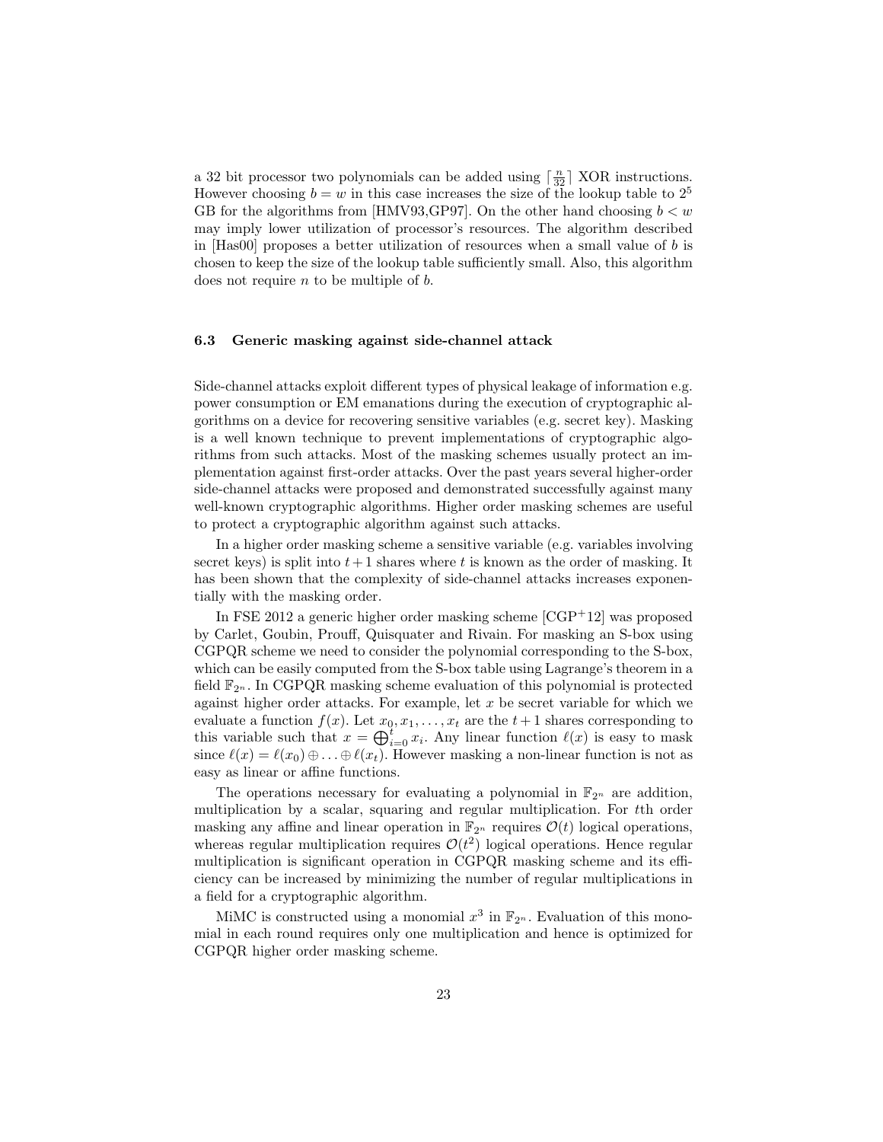a 32 bit processor two polynomials can be added using  $\lceil \frac{n}{32} \rceil$  XOR instructions. However choosing  $b = w$  in this case increases the size of the lookup table to  $2<sup>5</sup>$ GB for the algorithms from [HMV93, GP97]. On the other hand choosing  $b < w$ may imply lower utilization of processor's resources. The algorithm described in  $[Has00]$  proposes a better utilization of resources when a small value of b is chosen to keep the size of the lookup table sufficiently small. Also, this algorithm does not require n to be multiple of b.

## 6.3 Generic masking against side-channel attack

Side-channel attacks exploit different types of physical leakage of information e.g. power consumption or EM emanations during the execution of cryptographic algorithms on a device for recovering sensitive variables (e.g. secret key). Masking is a well known technique to prevent implementations of cryptographic algorithms from such attacks. Most of the masking schemes usually protect an implementation against first-order attacks. Over the past years several higher-order side-channel attacks were proposed and demonstrated successfully against many well-known cryptographic algorithms. Higher order masking schemes are useful to protect a cryptographic algorithm against such attacks.

In a higher order masking scheme a sensitive variable (e.g. variables involving secret keys) is split into  $t+1$  shares where t is known as the order of masking. It has been shown that the complexity of side-channel attacks increases exponentially with the masking order.

In FSE 2012 a generic higher order masking scheme [CGP+12] was proposed by Carlet, Goubin, Prouff, Quisquater and Rivain. For masking an S-box using CGPQR scheme we need to consider the polynomial corresponding to the S-box, which can be easily computed from the S-box table using Lagrange's theorem in a field  $\mathbb{F}_{2^n}$ . In CGPQR masking scheme evaluation of this polynomial is protected against higher order attacks. For example, let  $x$  be secret variable for which we evaluate a function  $f(x)$ . Let  $x_0, x_1, \ldots, x_t$  are the  $t + 1$  shares corresponding to this variable such that  $x = \bigoplus_{i=0}^{t} x_i$ . Any linear function  $\ell(x)$  is easy to mask since  $\ell(x) = \ell(x_0) \oplus \ldots \oplus \ell(x_t)$ . However masking a non-linear function is not as easy as linear or affine functions.

The operations necessary for evaluating a polynomial in  $\mathbb{F}_{2^n}$  are addition, multiplication by a scalar, squaring and regular multiplication. For tth order masking any affine and linear operation in  $\mathbb{F}_{2^n}$  requires  $\mathcal{O}(t)$  logical operations, whereas regular multiplication requires  $\mathcal{O}(t^2)$  logical operations. Hence regular multiplication is significant operation in CGPQR masking scheme and its efficiency can be increased by minimizing the number of regular multiplications in a field for a cryptographic algorithm.

MiMC is constructed using a monomial  $x^3$  in  $\mathbb{F}_{2^n}$ . Evaluation of this monomial in each round requires only one multiplication and hence is optimized for CGPQR higher order masking scheme.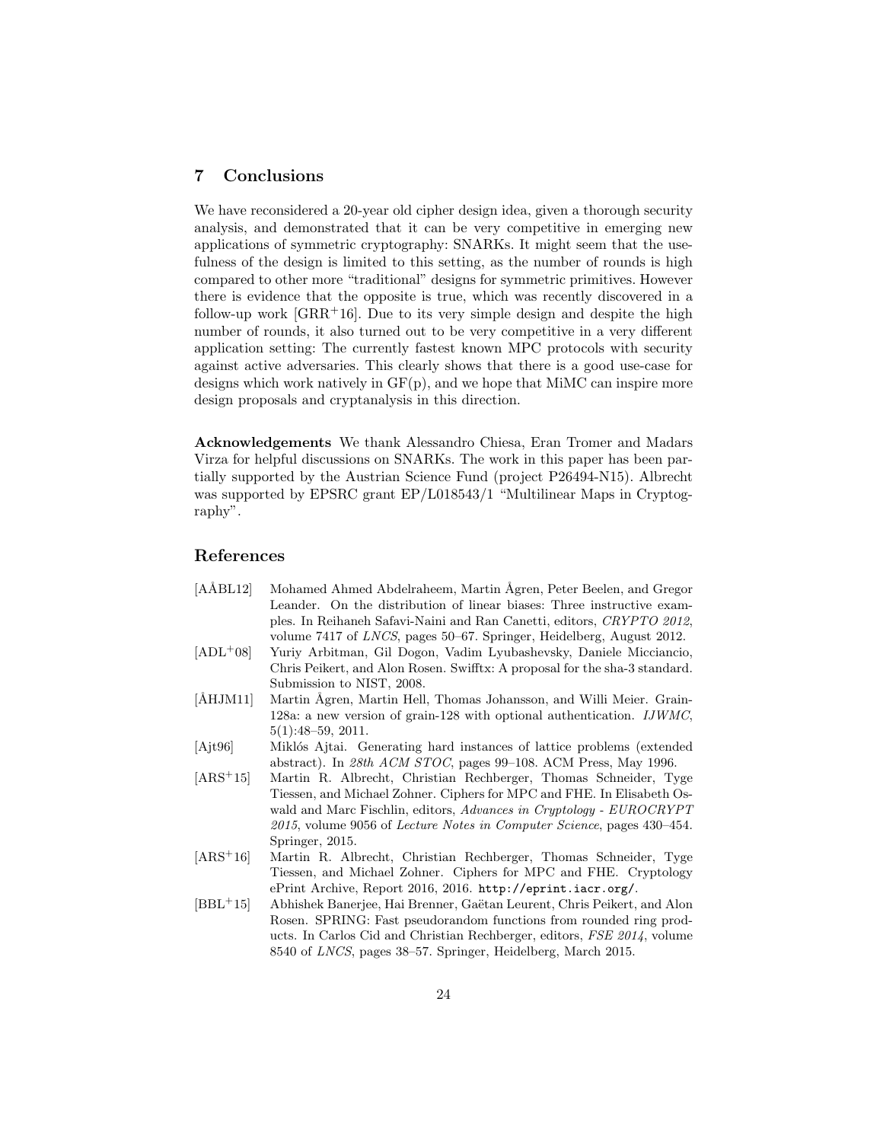# 7 Conclusions

We have reconsidered a 20-year old cipher design idea, given a thorough security analysis, and demonstrated that it can be very competitive in emerging new applications of symmetric cryptography: SNARKs. It might seem that the usefulness of the design is limited to this setting, as the number of rounds is high compared to other more "traditional" designs for symmetric primitives. However there is evidence that the opposite is true, which was recently discovered in a follow-up work  $[GRR+16]$ . Due to its very simple design and despite the high number of rounds, it also turned out to be very competitive in a very different application setting: The currently fastest known MPC protocols with security against active adversaries. This clearly shows that there is a good use-case for designs which work natively in  $GF(p)$ , and we hope that MiMC can inspire more design proposals and cryptanalysis in this direction.

Acknowledgements We thank Alessandro Chiesa, Eran Tromer and Madars Virza for helpful discussions on SNARKs. The work in this paper has been partially supported by the Austrian Science Fund (project P26494-N15). Albrecht was supported by EPSRC grant EP/L018543/1 "Multilinear Maps in Cryptography".

# References

| $[A\AA BL12]$        | Mohamed Ahmed Abdelraheem, Martin Agren, Peter Beelen, and Gregor          |
|----------------------|----------------------------------------------------------------------------|
|                      | Leander. On the distribution of linear biases: Three instructive exam-     |
|                      | ples. In Reihaneh Safavi-Naini and Ran Canetti, editors, CRYPTO 2012,      |
|                      | volume 7417 of LNCS, pages 50–67. Springer, Heidelberg, August 2012.       |
| $[ADL+08]$           | Yuriy Arbitman, Gil Dogon, Vadim Lyubashevsky, Daniele Micciancio,         |
|                      | Chris Peikert, and Alon Rosen. Swifftx: A proposal for the sha-3 standard. |
|                      | Submission to NIST, 2008.                                                  |
| $\text{[\AA HJM11]}$ | Martin Ägren, Martin Hell, Thomas Johansson, and Willi Meier. Grain-       |
|                      | 128a: a new version of grain-128 with optional authentication. $IJWMC$ ,   |
|                      | $5(1):48-59, 2011.$                                                        |
| [Ajt96]              | Miklós Ajtai. Generating hard instances of lattice problems (extended      |
|                      | abstract). In 28th ACM STOC, pages 99–108. ACM Press, May 1996.            |
| $[ARS+15]$           | Martin R. Albrecht, Christian Rechberger, Thomas Schneider, Tyge           |
|                      | Tiessen, and Michael Zohner. Ciphers for MPC and FHE. In Elisabeth Os-     |
|                      | wald and Marc Fischlin, editors, Advances in Cryptology - EUROCRYPT        |
|                      | 2015, volume 9056 of Lecture Notes in Computer Science, pages 430–454.     |
|                      | Springer, 2015.                                                            |
| $[ARS+16]$           | Martin R. Albrecht, Christian Rechberger, Thomas Schneider, Tyge           |
|                      | Tiessen, and Michael Zohner. Ciphers for MPC and FHE. Cryptology           |
|                      | ePrint Archive, Report 2016, 2016. http://eprint.iacr.org/.                |
| $[BBL+15]$           | Abhishek Banerjee, Hai Brenner, Gaëtan Leurent, Chris Peikert, and Alon    |
|                      | Rosen. SPRING: Fast pseudorandom functions from rounded ring prod-         |
|                      | ucts. In Carlos Cid and Christian Rechberger, editors, FSE 2014, volume    |
|                      | 8540 of <i>LNCS</i> , pages 38–57. Springer, Heidelberg, March 2015.       |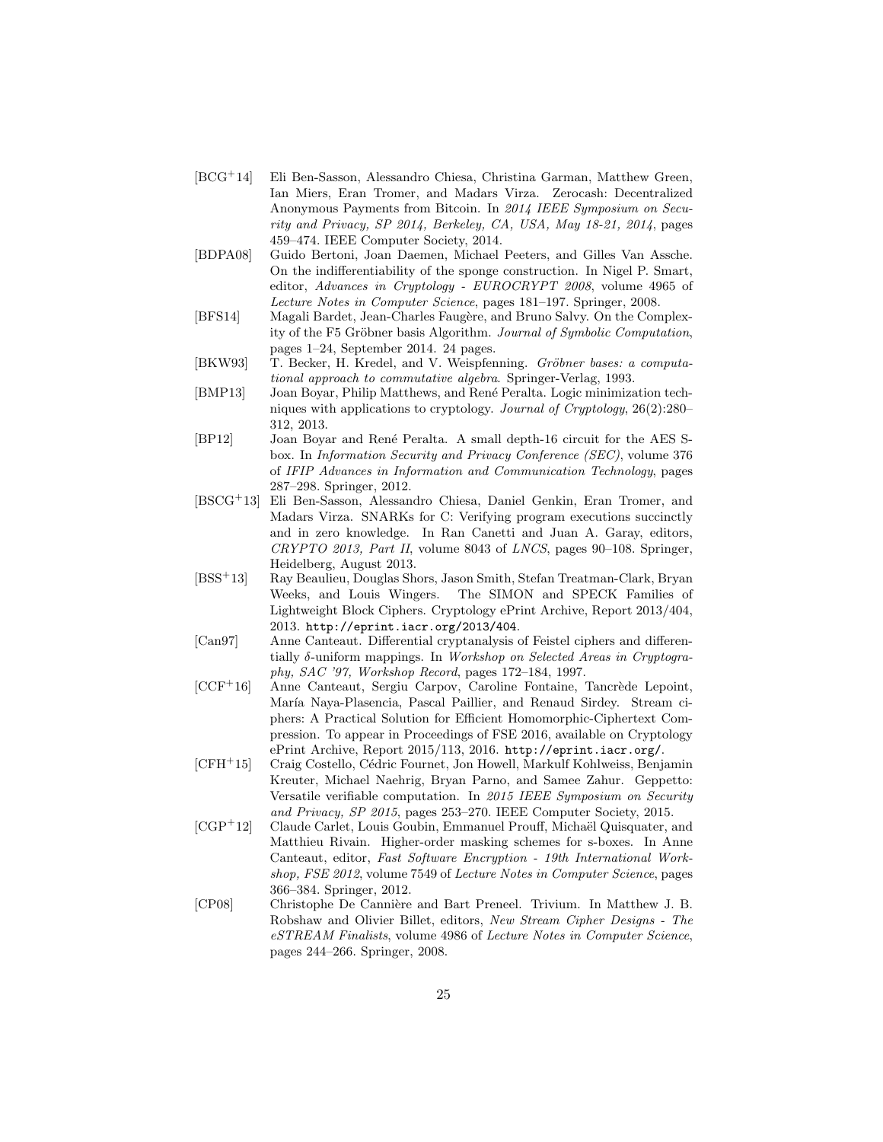- [BCG<sup>+</sup>14] Eli Ben-Sasson, Alessandro Chiesa, Christina Garman, Matthew Green, Ian Miers, Eran Tromer, and Madars Virza. Zerocash: Decentralized Anonymous Payments from Bitcoin. In 2014 IEEE Symposium on Security and Privacy, SP 2014, Berkeley, CA, USA, May 18-21, 2014, pages 459–474. IEEE Computer Society, 2014.
- [BDPA08] Guido Bertoni, Joan Daemen, Michael Peeters, and Gilles Van Assche. On the indifferentiability of the sponge construction. In Nigel P. Smart, editor, Advances in Cryptology - EUROCRYPT 2008, volume 4965 of Lecture Notes in Computer Science, pages 181–197. Springer, 2008.
- [BFS14] Magali Bardet, Jean-Charles Faugère, and Bruno Salvy. On the Complexity of the F5 Gröbner basis Algorithm. Journal of Symbolic Computation, pages 1–24, September 2014. 24 pages.
- [BKW93] T. Becker, H. Kredel, and V. Weispfenning. Gröbner bases: a computational approach to commutative algebra. Springer-Verlag, 1993.
- [BMP13] Joan Boyar, Philip Matthews, and René Peralta. Logic minimization techniques with applications to cryptology. Journal of Cryptology, 26(2):280– 312, 2013.
- [BP12] Joan Boyar and Ren´e Peralta. A small depth-16 circuit for the AES Sbox. In Information Security and Privacy Conference (SEC), volume 376 of IFIP Advances in Information and Communication Technology, pages 287–298. Springer, 2012.
- [BSCG<sup>+</sup>13] Eli Ben-Sasson, Alessandro Chiesa, Daniel Genkin, Eran Tromer, and Madars Virza. SNARKs for C: Verifying program executions succinctly and in zero knowledge. In Ran Canetti and Juan A. Garay, editors, CRYPTO 2013, Part II, volume 8043 of LNCS, pages 90–108. Springer, Heidelberg, August 2013.
- [BSS<sup>+</sup>13] Ray Beaulieu, Douglas Shors, Jason Smith, Stefan Treatman-Clark, Bryan Weeks, and Louis Wingers. The SIMON and SPECK Families of Lightweight Block Ciphers. Cryptology ePrint Archive, Report 2013/404, 2013. http://eprint.iacr.org/2013/404.
- [Can97] Anne Canteaut. Differential cryptanalysis of Feistel ciphers and differentially δ-uniform mappings. In Workshop on Selected Areas in Cryptography, SAC '97, Workshop Record, pages 172–184, 1997.
- [CCF<sup>+</sup>16] Anne Canteaut, Sergiu Carpov, Caroline Fontaine, Tancrède Lepoint, María Naya-Plasencia, Pascal Paillier, and Renaud Sirdey. Stream ciphers: A Practical Solution for Efficient Homomorphic-Ciphertext Compression. To appear in Proceedings of FSE 2016, available on Cryptology ePrint Archive, Report 2015/113, 2016. http://eprint.iacr.org/.
- [CFH<sup>+</sup>15] Craig Costello, Cédric Fournet, Jon Howell, Markulf Kohlweiss, Benjamin Kreuter, Michael Naehrig, Bryan Parno, and Samee Zahur. Geppetto: Versatile verifiable computation. In 2015 IEEE Symposium on Security and Privacy, SP 2015, pages 253–270. IEEE Computer Society, 2015.
- [CGP<sup>+</sup>12] Claude Carlet, Louis Goubin, Emmanuel Prouff, Michaël Quisquater, and Matthieu Rivain. Higher-order masking schemes for s-boxes. In Anne Canteaut, editor, Fast Software Encryption - 19th International Workshop, FSE 2012, volume 7549 of Lecture Notes in Computer Science, pages 366–384. Springer, 2012.
- [CP08] Christophe De Cannière and Bart Preneel. Trivium. In Matthew J. B. Robshaw and Olivier Billet, editors, New Stream Cipher Designs - The eSTREAM Finalists, volume 4986 of Lecture Notes in Computer Science, pages 244–266. Springer, 2008.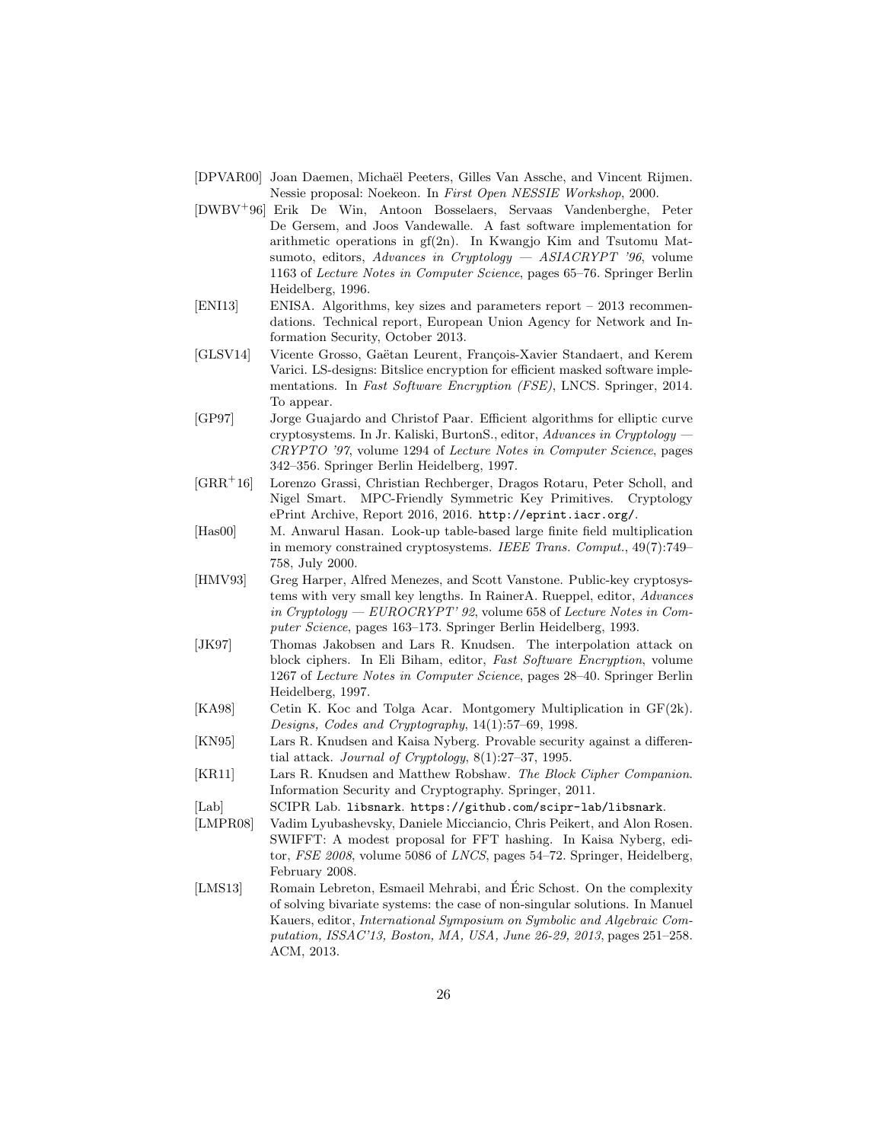- [DPVAR00] Joan Daemen, Michaël Peeters, Gilles Van Assche, and Vincent Rijmen. Nessie proposal: Noekeon. In First Open NESSIE Workshop, 2000.
- [DWBV<sup>+</sup>96] Erik De Win, Antoon Bosselaers, Servaas Vandenberghe, Peter De Gersem, and Joos Vandewalle. A fast software implementation for arithmetic operations in gf(2n). In Kwangjo Kim and Tsutomu Matsumoto, editors, Advances in Cryptology — ASIACRYPT '96, volume 1163 of Lecture Notes in Computer Science, pages 65–76. Springer Berlin Heidelberg, 1996.
- [ENI13] ENISA. Algorithms, key sizes and parameters report 2013 recommendations. Technical report, European Union Agency for Network and Information Security, October 2013.
- [GLSV14] Vicente Grosso, Gaëtan Leurent, François-Xavier Standaert, and Kerem Varici. LS-designs: Bitslice encryption for efficient masked software implementations. In Fast Software Encryption (FSE), LNCS. Springer, 2014. To appear.
- [GP97] Jorge Guajardo and Christof Paar. Efficient algorithms for elliptic curve cryptosystems. In Jr. Kaliski, BurtonS., editor, Advances in Cryptology CRYPTO '97, volume 1294 of Lecture Notes in Computer Science, pages 342–356. Springer Berlin Heidelberg, 1997.
- [GRR<sup>+</sup>16] Lorenzo Grassi, Christian Rechberger, Dragos Rotaru, Peter Scholl, and Nigel Smart. MPC-Friendly Symmetric Key Primitives. Cryptology ePrint Archive, Report 2016, 2016. http://eprint.iacr.org/.
- [Has00] M. Anwarul Hasan. Look-up table-based large finite field multiplication in memory constrained cryptosystems. IEEE Trans. Comput., 49(7):749– 758, July 2000.
- [HMV93] Greg Harper, Alfred Menezes, and Scott Vanstone. Public-key cryptosystems with very small key lengths. In RainerA. Rueppel, editor, Advances in Cryptology — EUROCRYPT' 92, volume 658 of Lecture Notes in Computer Science, pages 163–173. Springer Berlin Heidelberg, 1993.
- [JK97] Thomas Jakobsen and Lars R. Knudsen. The interpolation attack on block ciphers. In Eli Biham, editor, Fast Software Encryption, volume 1267 of Lecture Notes in Computer Science, pages 28–40. Springer Berlin Heidelberg, 1997.
- [KA98] Cetin K. Koc and Tolga Acar. Montgomery Multiplication in GF(2k). Designs, Codes and Cryptography, 14(1):57–69, 1998.
- [KN95] Lars R. Knudsen and Kaisa Nyberg. Provable security against a differential attack. Journal of Cryptology, 8(1):27–37, 1995.
- [KR11] Lars R. Knudsen and Matthew Robshaw. The Block Cipher Companion. Information Security and Cryptography. Springer, 2011.
- [Lab] SCIPR Lab. libsnark. https://github.com/scipr-lab/libsnark.
- [LMPR08] Vadim Lyubashevsky, Daniele Micciancio, Chris Peikert, and Alon Rosen. SWIFFT: A modest proposal for FFT hashing. In Kaisa Nyberg, editor, FSE 2008, volume 5086 of LNCS, pages 54–72. Springer, Heidelberg, February 2008.
- [LMS13] Romain Lebreton, Esmaeil Mehrabi, and Éric Schost. On the complexity of solving bivariate systems: the case of non-singular solutions. In Manuel Kauers, editor, International Symposium on Symbolic and Algebraic Computation, ISSAC'13, Boston, MA, USA, June 26-29, 2013, pages 251–258. ACM, 2013.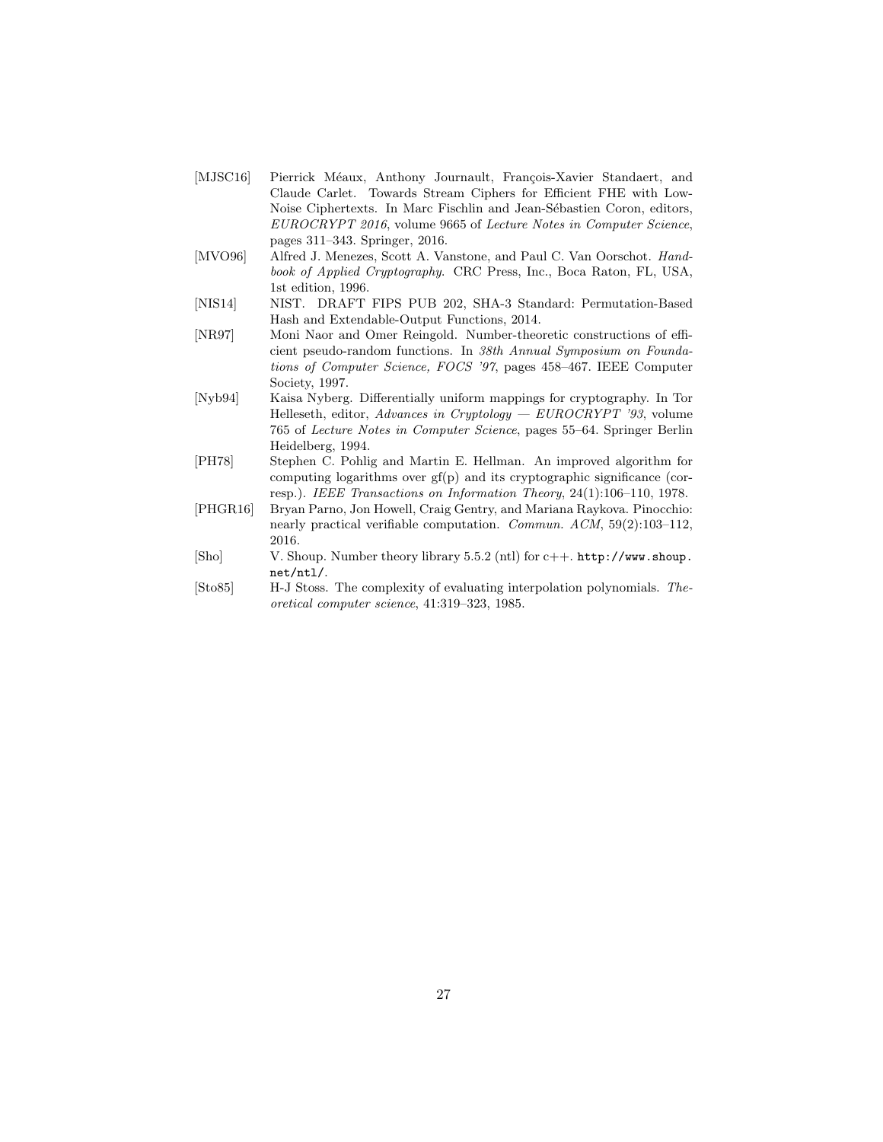- [MJSC16] Pierrick Méaux, Anthony Journault, François-Xavier Standaert, and Claude Carlet. Towards Stream Ciphers for Efficient FHE with Low-Noise Ciphertexts. In Marc Fischlin and Jean-Sébastien Coron, editors, EUROCRYPT 2016, volume 9665 of Lecture Notes in Computer Science, pages 311–343. Springer, 2016.
- [MVO96] Alfred J. Menezes, Scott A. Vanstone, and Paul C. Van Oorschot. Handbook of Applied Cryptography. CRC Press, Inc., Boca Raton, FL, USA, 1st edition, 1996.
- [NIS14] NIST. DRAFT FIPS PUB 202, SHA-3 Standard: Permutation-Based Hash and Extendable-Output Functions, 2014.
- [NR97] Moni Naor and Omer Reingold. Number-theoretic constructions of efficient pseudo-random functions. In 38th Annual Symposium on Foundations of Computer Science, FOCS '97, pages 458–467. IEEE Computer Society, 1997.
- [Nyb94] Kaisa Nyberg. Differentially uniform mappings for cryptography. In Tor Helleseth, editor, Advances in Cryptology —  $EUROCRYPT$  '93, volume 765 of Lecture Notes in Computer Science, pages 55–64. Springer Berlin Heidelberg, 1994.
- [PH78] Stephen C. Pohlig and Martin E. Hellman. An improved algorithm for computing logarithms over gf(p) and its cryptographic significance (corresp.). IEEE Transactions on Information Theory, 24(1):106–110, 1978.
- [PHGR16] Bryan Parno, Jon Howell, Craig Gentry, and Mariana Raykova. Pinocchio: nearly practical verifiable computation. Commun. ACM, 59(2):103-112, 2016.
- [Sho] V. Shoup. Number theory library 5.5.2 (ntl) for c++. http://www.shoup. net/ntl/.
- [Sto85] H-J Stoss. The complexity of evaluating interpolation polynomials. Theoretical computer science, 41:319–323, 1985.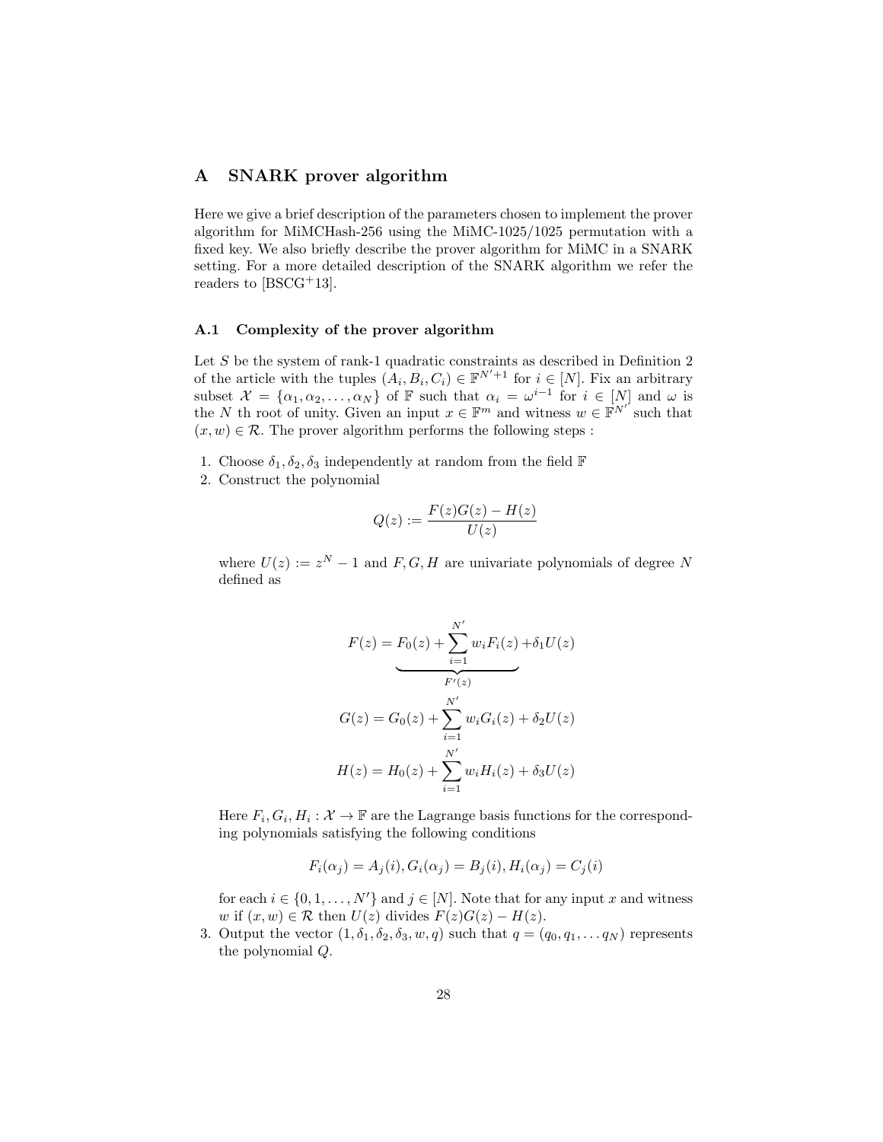## A SNARK prover algorithm

Here we give a brief description of the parameters chosen to implement the prover algorithm for MiMCHash-256 using the MiMC-1025/1025 permutation with a fixed key. We also briefly describe the prover algorithm for MiMC in a SNARK setting. For a more detailed description of the SNARK algorithm we refer the readers to  $[{\rm BSCG^+13}].$ 

## A.1 Complexity of the prover algorithm

Let  $S$  be the system of rank-1 quadratic constraints as described in Definition 2 of the article with the tuples  $(A_i, B_i, C_i) \in \mathbb{F}^{N'+1}$  for  $i \in [N]$ . Fix an arbitrary subset  $\mathcal{X} = \{\alpha_1, \alpha_2, \dots, \alpha_N\}$  of F such that  $\alpha_i = \omega^{i-1}$  for  $i \in [N]$  and  $\omega$  is the N th root of unity. Given an input  $x \in \mathbb{F}^m$  and witness  $w \in \mathbb{F}^{N'}$  such that  $(x, w) \in \mathcal{R}$ . The prover algorithm performs the following steps :

- 1. Choose  $\delta_1, \delta_2, \delta_3$  independently at random from the field F
- 2. Construct the polynomial

$$
Q(z) := \frac{F(z)G(z) - H(z)}{U(z)}
$$

where  $U(z) := z^N - 1$  and  $F, G, H$  are univariate polynomials of degree N defined as

$$
F(z) = F_0(z) + \sum_{i=1}^{N'} w_i F_i(z) + \delta_1 U(z)
$$
  

$$
G(z) = G_0(z) + \sum_{i=1}^{N'} w_i G_i(z) + \delta_2 U(z)
$$
  

$$
H(z) = H_0(z) + \sum_{i=1}^{N'} w_i H_i(z) + \delta_3 U(z)
$$

Here  $F_i, G_i, H_i: \mathcal{X} \to \mathbb{F}$  are the Lagrange basis functions for the corresponding polynomials satisfying the following conditions

$$
F_i(\alpha_j) = A_j(i), G_i(\alpha_j) = B_j(i), H_i(\alpha_j) = C_j(i)
$$

for each  $i \in \{0, 1, \ldots, N'\}$  and  $j \in [N]$ . Note that for any input x and witness w if  $(x, w) \in \mathcal{R}$  then  $U(z)$  divides  $F(z)G(z) - H(z)$ .

3. Output the vector  $(1, \delta_1, \delta_2, \delta_3, w, q)$  such that  $q = (q_0, q_1, \ldots q_N)$  represents the polynomial Q.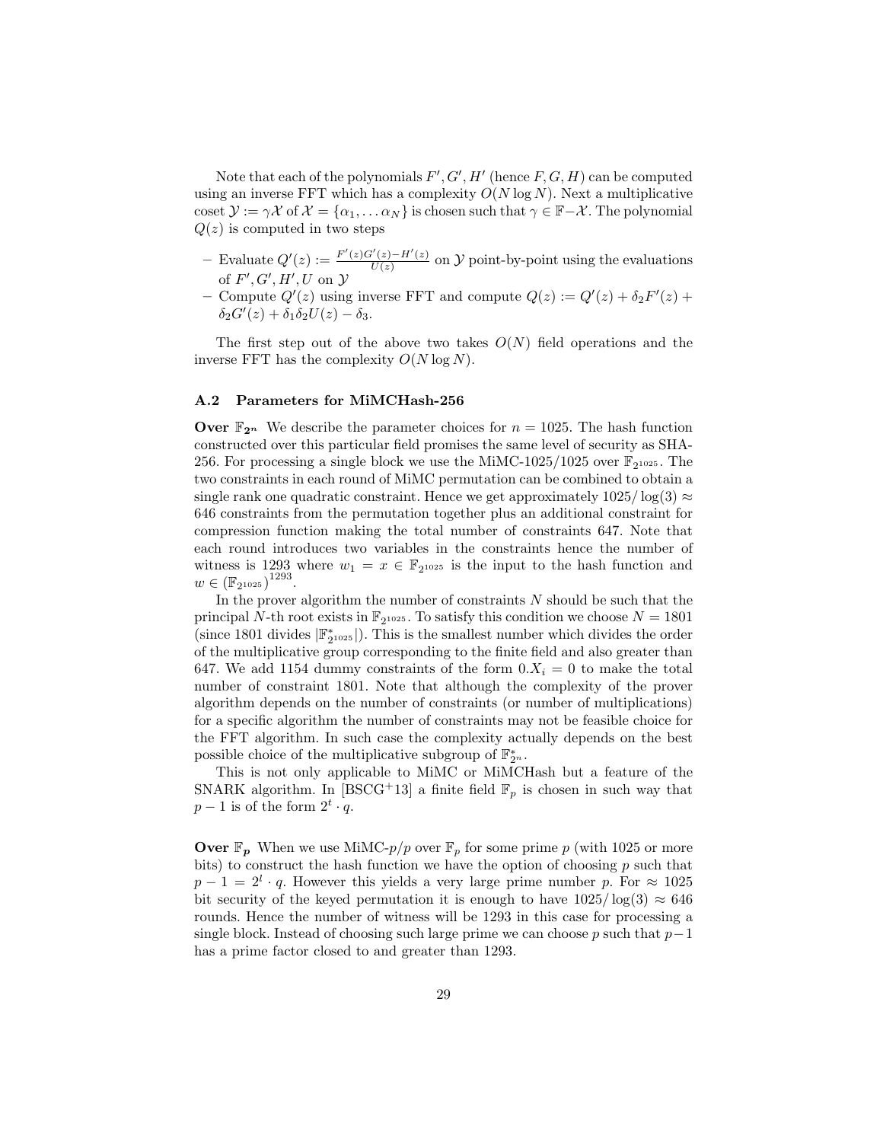Note that each of the polynomials  $F', G', H'$  (hence  $F, G, H$ ) can be computed using an inverse FFT which has a complexity  $O(N \log N)$ . Next a multiplicative coset  $\mathcal{Y} := \gamma \mathcal{X}$  of  $\mathcal{X} = {\alpha_1, \dots \alpha_N}$  is chosen such that  $\gamma \in \mathbb{F} - \mathcal{X}$ . The polynomial  $Q(z)$  is computed in two steps

- $-$  Evaluate  $Q'(z) := \frac{F'(z)G'(z) H'(z)}{H(z)}$  $\frac{U(z)-H'(z)}{U(z)}$  on  $\mathcal Y$  point-by-point using the evaluations of  $F', G', H', U$  on  $\mathcal Y$
- Compute  $Q'(z)$  using inverse FFT and compute  $Q(z) := Q'(z) + \delta_2 F'(z) +$  $\delta_2 G'(z) + \delta_1 \delta_2 U(z) - \delta_3.$

The first step out of the above two takes  $O(N)$  field operations and the inverse FFT has the complexity  $O(N \log N)$ .

## A.2 Parameters for MiMCHash-256

**Over**  $\mathbb{F}_{2^n}$  We describe the parameter choices for  $n = 1025$ . The hash function constructed over this particular field promises the same level of security as SHA-256. For processing a single block we use the MiMC-1025/1025 over  $\mathbb{F}_{2^{1025}}$ . The two constraints in each round of MiMC permutation can be combined to obtain a single rank one quadratic constraint. Hence we get approximately  $1025/\log(3) \approx$ 646 constraints from the permutation together plus an additional constraint for compression function making the total number of constraints 647. Note that each round introduces two variables in the constraints hence the number of witness is 1293 where  $w_1 = x \in \mathbb{F}_{2^{1025}}$  is the input to the hash function and  $w \in (\mathbb{F}_{2^{1025}})^{1293}.$ 

In the prover algorithm the number of constraints N should be such that the principal N-th root exists in  $\mathbb{F}_2$ <sup>1025</sup>. To satisfy this condition we choose  $N = 1801$ (since 1801 divides  $|\mathbb{F}_{2^{1025}}^*|$ ). This is the smallest number which divides the order of the multiplicative group corresponding to the finite field and also greater than 647. We add 1154 dummy constraints of the form  $0.X_i = 0$  to make the total number of constraint 1801. Note that although the complexity of the prover algorithm depends on the number of constraints (or number of multiplications) for a specific algorithm the number of constraints may not be feasible choice for the FFT algorithm. In such case the complexity actually depends on the best possible choice of the multiplicative subgroup of  $\mathbb{F}_{2^n}^*$ .

This is not only applicable to MiMC or MiMCHash but a feature of the SNARK algorithm. In [BSCG+13] a finite field  $\mathbb{F}_p$  is chosen in such way that  $p-1$  is of the form  $2^t \cdot q$ .

**Over**  $\mathbb{F}_p$  When we use MiMC- $p/p$  over  $\mathbb{F}_p$  for some prime p (with 1025 or more bits) to construct the hash function we have the option of choosing  $p$  such that  $p-1 = 2<sup>l</sup> \cdot q$ . However this yields a very large prime number p. For  $\approx 1025$ bit security of the keyed permutation it is enough to have  $1025/\log(3) \approx 646$ rounds. Hence the number of witness will be 1293 in this case for processing a single block. Instead of choosing such large prime we can choose p such that  $p-1$ has a prime factor closed to and greater than 1293.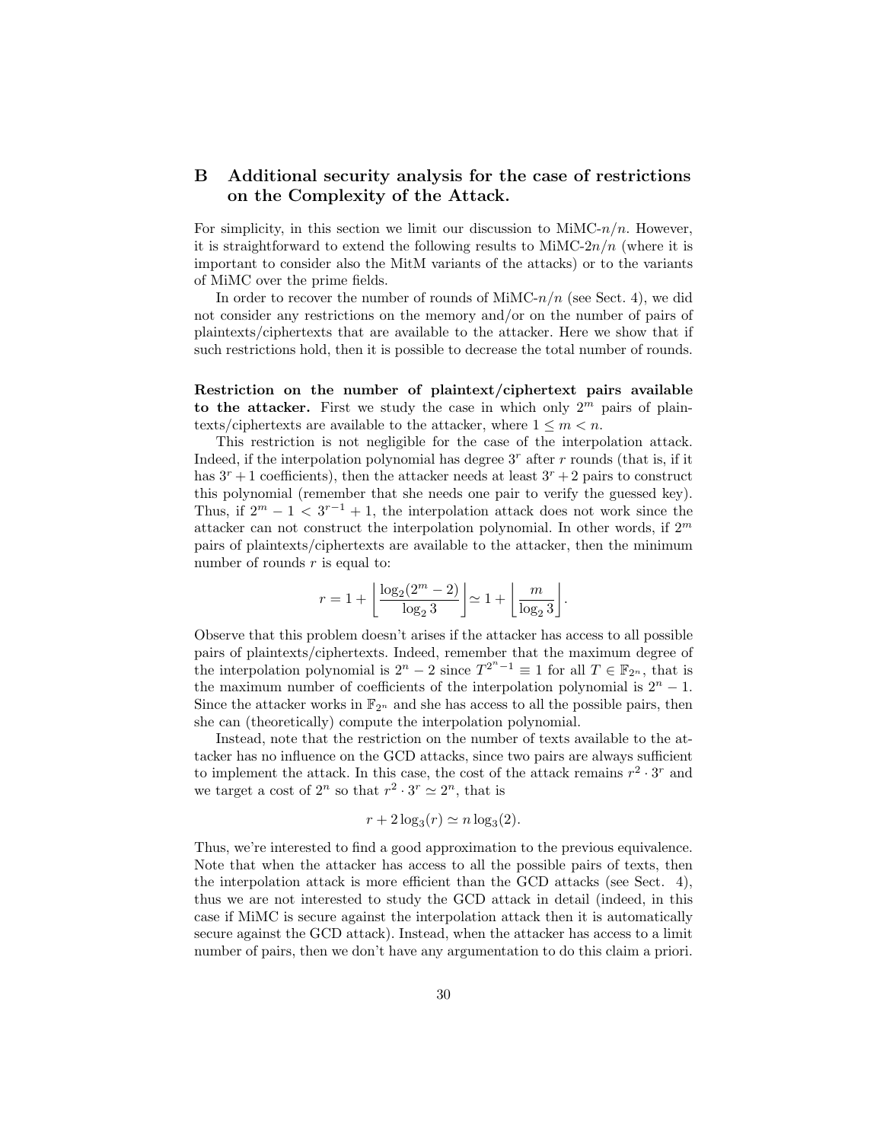# B Additional security analysis for the case of restrictions on the Complexity of the Attack.

For simplicity, in this section we limit our discussion to  $MinC-n/n$ . However, it is straightforward to extend the following results to  $\text{MinC-}2n/n$  (where it is important to consider also the MitM variants of the attacks) or to the variants of MiMC over the prime fields.

In order to recover the number of rounds of  $\text{MMC-}n/n$  (see Sect. 4), we did not consider any restrictions on the memory and/or on the number of pairs of plaintexts/ciphertexts that are available to the attacker. Here we show that if such restrictions hold, then it is possible to decrease the total number of rounds.

Restriction on the number of plaintext/ciphertext pairs available to the attacker. First we study the case in which only  $2^m$  pairs of plaintexts/ciphertexts are available to the attacker, where  $1 \leq m < n$ .

This restriction is not negligible for the case of the interpolation attack. Indeed, if the interpolation polynomial has degree  $3<sup>r</sup>$  after r rounds (that is, if it has  $3^r + 1$  coefficients), then the attacker needs at least  $3^r + 2$  pairs to construct this polynomial (remember that she needs one pair to verify the guessed key). Thus, if  $2^m - 1 < 3^{r-1} + 1$ , the interpolation attack does not work since the attacker can not construct the interpolation polynomial. In other words, if  $2^m$ pairs of plaintexts/ciphertexts are available to the attacker, then the minimum number of rounds  $r$  is equal to:

$$
r = 1 + \left\lfloor \frac{\log_2(2^m - 2)}{\log_2 3} \right\rfloor \simeq 1 + \left\lfloor \frac{m}{\log_2 3} \right\rfloor.
$$

Observe that this problem doesn't arises if the attacker has access to all possible pairs of plaintexts/ciphertexts. Indeed, remember that the maximum degree of the interpolation polynomial is  $2^n - 2$  since  $T^{2^n - 1} \equiv 1$  for all  $T \in \mathbb{F}_{2^n}$ , that is the maximum number of coefficients of the interpolation polynomial is  $2<sup>n</sup> - 1$ . Since the attacker works in  $\mathbb{F}_{2^n}$  and she has access to all the possible pairs, then she can (theoretically) compute the interpolation polynomial.

Instead, note that the restriction on the number of texts available to the attacker has no influence on the GCD attacks, since two pairs are always sufficient to implement the attack. In this case, the cost of the attack remains  $r^2 \cdot 3^r$  and we target a cost of  $2^n$  so that  $r^2 \cdot 3^r \simeq 2^n$ , that is

$$
r + 2\log_3(r) \simeq n \log_3(2).
$$

Thus, we're interested to find a good approximation to the previous equivalence. Note that when the attacker has access to all the possible pairs of texts, then the interpolation attack is more efficient than the GCD attacks (see Sect. 4), thus we are not interested to study the GCD attack in detail (indeed, in this case if MiMC is secure against the interpolation attack then it is automatically secure against the GCD attack). Instead, when the attacker has access to a limit number of pairs, then we don't have any argumentation to do this claim a priori.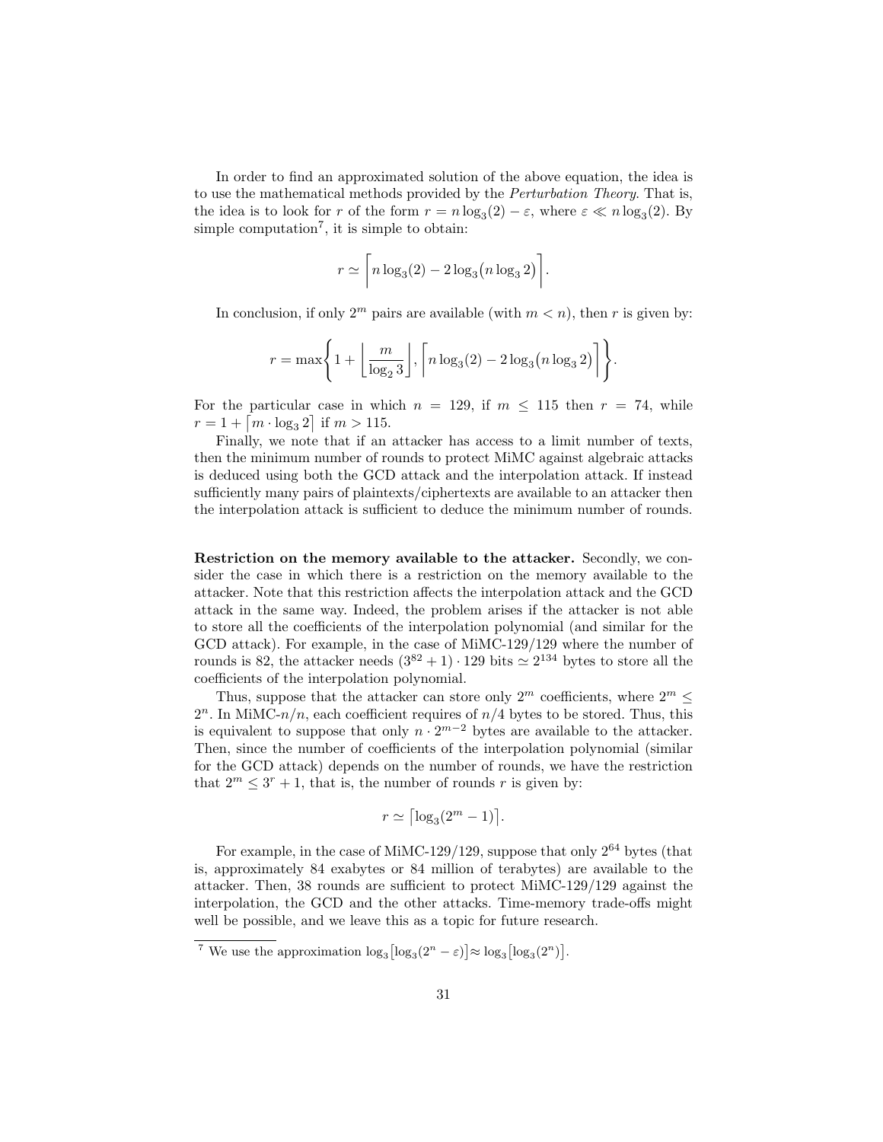In order to find an approximated solution of the above equation, the idea is to use the mathematical methods provided by the Perturbation Theory. That is, the idea is to look for r of the form  $r = n \log_3(2) - \varepsilon$ , where  $\varepsilon \ll n \log_3(2)$ . By simple computation<sup>7</sup>, it is simple to obtain:

$$
r \simeq \left\lceil n \log_3(2) - 2 \log_3\left(n \log_3 2\right) \right\rceil.
$$

In conclusion, if only  $2^m$  pairs are available (with  $m < n$ ), then r is given by:

$$
r = \max\left\{1 + \left\lfloor \frac{m}{\log_2 3} \right\rfloor, \left\lceil n \log_3(2) - 2 \log_3(n \log_3 2) \right\rceil \right\}.
$$

For the particular case in which  $n = 129$ , if  $m \le 115$  then  $r = 74$ , while  $r = 1 + \lceil m \cdot \log_3 2 \rceil$  if  $m > 115$ .

Finally, we note that if an attacker has access to a limit number of texts, then the minimum number of rounds to protect MiMC against algebraic attacks is deduced using both the GCD attack and the interpolation attack. If instead sufficiently many pairs of plaintexts/ciphertexts are available to an attacker then the interpolation attack is sufficient to deduce the minimum number of rounds.

Restriction on the memory available to the attacker. Secondly, we consider the case in which there is a restriction on the memory available to the attacker. Note that this restriction affects the interpolation attack and the GCD attack in the same way. Indeed, the problem arises if the attacker is not able to store all the coefficients of the interpolation polynomial (and similar for the GCD attack). For example, in the case of MiMC-129/129 where the number of rounds is 82, the attacker needs  $(3^{82} + 1) \cdot 129$  bits  $\simeq 2^{134}$  bytes to store all the coefficients of the interpolation polynomial.

Thus, suppose that the attacker can store only  $2^m$  coefficients, where  $2^m \leq$  $2^n$ . In MiMC- $n/n$ , each coefficient requires of  $n/4$  bytes to be stored. Thus, this is equivalent to suppose that only  $n \cdot 2^{m-2}$  bytes are available to the attacker. Then, since the number of coefficients of the interpolation polynomial (similar for the GCD attack) depends on the number of rounds, we have the restriction that  $2^m \leq 3^r + 1$ , that is, the number of rounds r is given by:

$$
r \simeq \left\lceil \log_3(2^m - 1) \right\rceil.
$$

For example, in the case of MiMC-129/129, suppose that only  $2^{64}$  bytes (that is, approximately 84 exabytes or 84 million of terabytes) are available to the attacker. Then, 38 rounds are sufficient to protect MiMC-129/129 against the interpolation, the GCD and the other attacks. Time-memory trade-offs might well be possible, and we leave this as a topic for future research.

<sup>&</sup>lt;sup>7</sup> We use the approximation  $\log_3\left[\log_3(2^n - \varepsilon)\right] \approx \log_3\left[\log_3(2^n)\right]$ .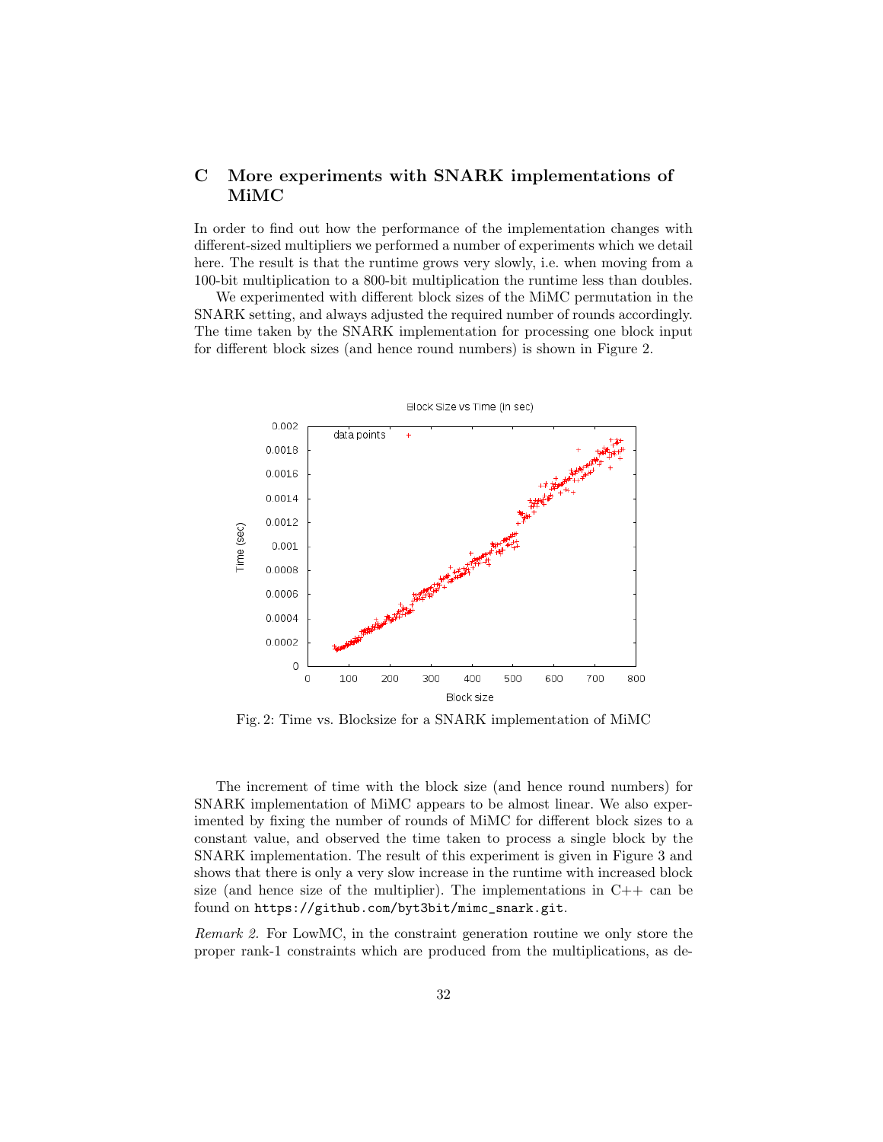# C More experiments with SNARK implementations of MiMC

In order to find out how the performance of the implementation changes with different-sized multipliers we performed a number of experiments which we detail here. The result is that the runtime grows very slowly, i.e. when moving from a 100-bit multiplication to a 800-bit multiplication the runtime less than doubles.

We experimented with different block sizes of the MiMC permutation in the SNARK setting, and always adjusted the required number of rounds accordingly. The time taken by the SNARK implementation for processing one block input for different block sizes (and hence round numbers) is shown in Figure 2.



Fig. 2: Time vs. Blocksize for a SNARK implementation of MiMC

The increment of time with the block size (and hence round numbers) for SNARK implementation of MiMC appears to be almost linear. We also experimented by fixing the number of rounds of MiMC for different block sizes to a constant value, and observed the time taken to process a single block by the SNARK implementation. The result of this experiment is given in Figure 3 and shows that there is only a very slow increase in the runtime with increased block size (and hence size of the multiplier). The implementations in  $C++$  can be found on https://github.com/byt3bit/mimc\_snark.git.

Remark 2. For LowMC, in the constraint generation routine we only store the proper rank-1 constraints which are produced from the multiplications, as de